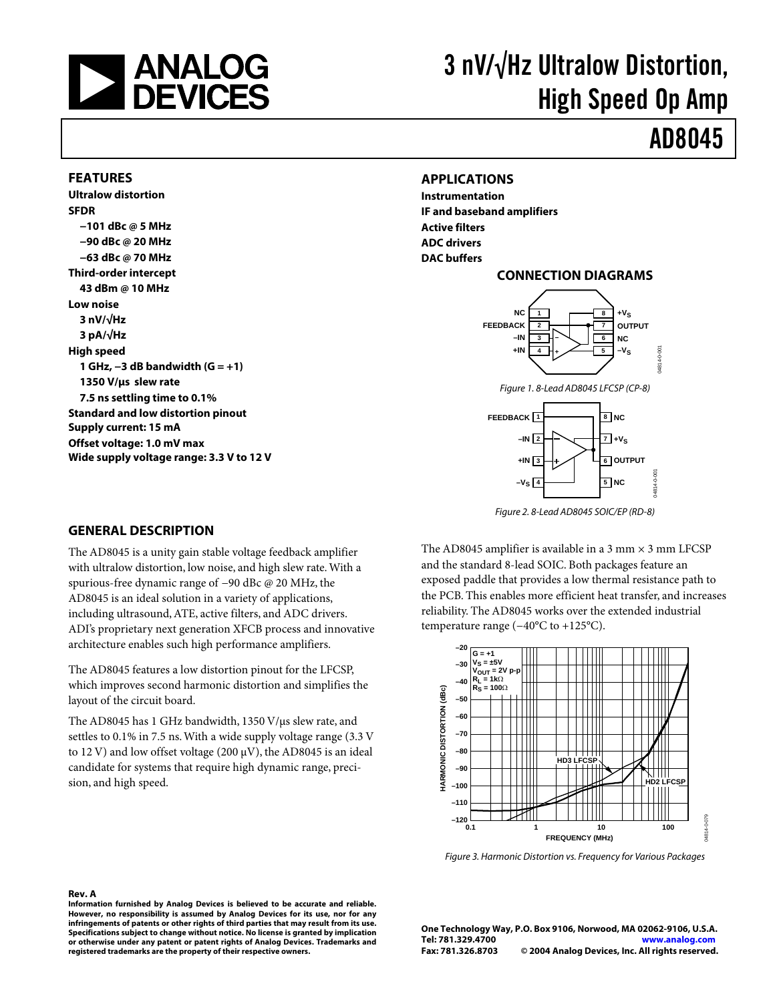

# 3 nV/√Hz Ultralow Distortion, High Speed Op Amp

# AD8045

#### **FEATURES**

**Ultralow distortion SFDR −101 dBc @ 5 MHz −90 dBc @ 20 MHz −63 dBc @ 70 MHz Third-order intercept 43 dBm @ 10 MHz Low noise 3 nV/√Hz 3 pA/√Hz High speed 1 GHz, −3 dB bandwidth (G = +1) 1350 V/µs slew rate 7.5 ns settling time to 0.1% Standard and low distortion pinout Supply current: 15 mA Offset voltage: 1.0 mV max Wide supply voltage range: 3.3 V to 12 V** 

#### **APPLICATIONS**

**Instrumentation IF and baseband amplifiers Active filters ADC drivers DAC buffers**

#### **CONNECTION DIAGRAMS**



Figure 1. 8-Lead AD8045 LFCSP (CP-8)



Figure 2. 8-Lead AD8045 SOIC/EP (RD-8)

The AD8045 amplifier is available in a 3 mm  $\times$  3 mm LFCSP and the standard 8-lead SOIC. Both packages feature an exposed paddle that provides a low thermal resistance path to the PCB. This enables more efficient heat transfer, and increases reliability. The AD8045 works over the extended industrial temperature range (−40°C to +125°C).



Figure 3. Harmonic Distortion vs. Frequency for Various Packages

#### **Rev. A Information furnished by Analog Devices is believed to be accurate and reliable. However, no responsibility is assumed by Analog Devices for its use, nor for any infringements of patents or other rights of third parties that may result from its use. Specifications subject to change without notice. No license is granted by implication or otherwise under any patent or patent rights of Analog Devices. Trademarks and registered trademarks are the property of their respective owners.**

**One Technology Way, P.O. Box 9106, Norwood, MA 02062-9106, U.S.A. Tel: 781.329.4700 <www.analog.com> Fax: 781.326.8703 © 2004 Analog Devices, Inc. All rights reserved.**

#### **GENERAL DESCRIPTION**

The AD8045 is a unity gain stable voltage feedback amplifier with ultralow distortion, low noise, and high slew rate.With a spurious-free dynamic range of −90 dBc @ 20 MHz, the AD8045 is an ideal solution in a variety of applications, including ultrasound,ATE, active filters, and ADC drivers. ADI's proprietary next generation XFCB process and innovative architecture enables such high performance amplifiers.

The AD8045 features a low distortion pinout for the LFCSP, which improves second harmonic distortion and simplifies the layout of the circuit board.

The AD8045 has 1 GHz bandwidth, 1350 V/µs slew rate, and settles to 0.1% in 7.5 ns.With a wide supply voltage range (3.3 V to 12 V) and low offset voltage (200  $\mu$ V), the AD8045 is an ideal candidate for systems that require high dynamic range, precision, and high speed.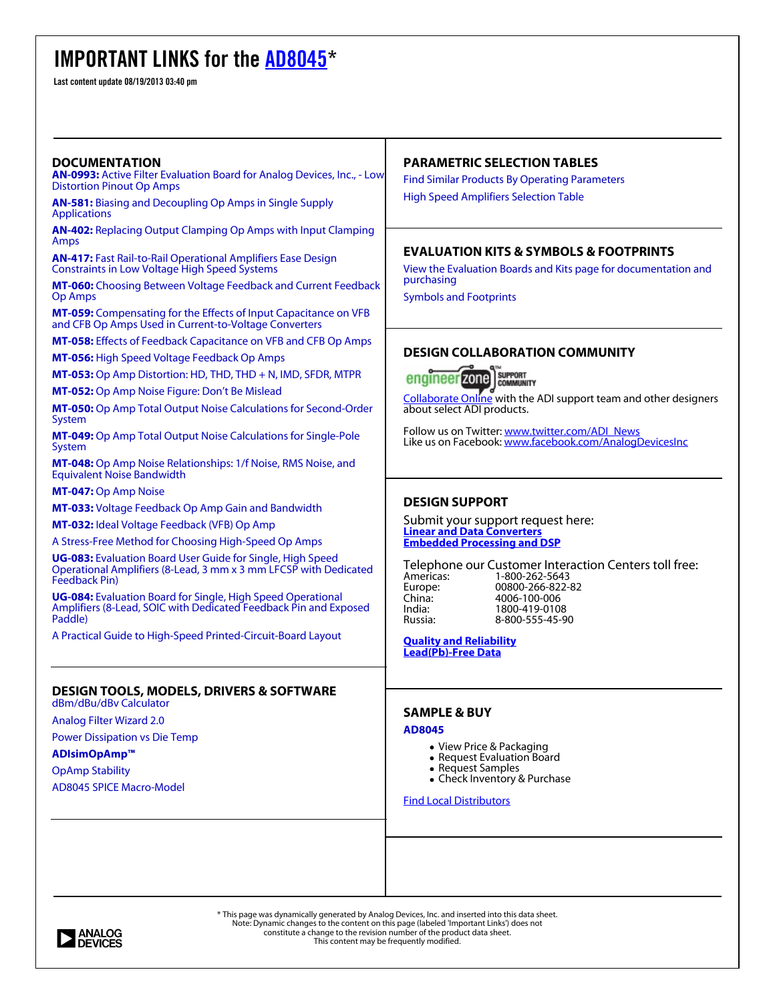### **IMPORTANT LINKS for the** [AD8045](http://www.analog.com/AD8045?doc=AD8045.pdf&p0=)**\***

Last content update 08/19/2013 03:40 pm

#### **PARAMETRIC SELECTION TABLES DOCUMENTATION [AN-0993:](http://www.analog.com/static/imported-files/application_notes/AN-0993.pdf?doc=AD8045.pdf&p0=)** [Active Filter Evaluation Board for Analog Devices, Inc., - Low](http://www.analog.com/static/imported-files/application_notes/AN-0993.pdf?doc=AD8045.pdf&p0=) [Find Similar Products By Operating Parameters](http://www.analog.com/ps/psthandler.aspx?pstid=10347&la=en&doc=AD8045.pdf&p0=) [Distortion Pinout Op Amps](http://www.analog.com/static/imported-files/application_notes/AN-0993.pdf?doc=AD8045.pdf&p0=)  [High Speed Amplifiers Selection Table](http://www.analog.com/static/imported-files/selection_tables/High_Speed_Amp_sel_table.pdf?doc=AD8045.pdf&p0=)  **[AN-581:](http://www.analog.com/static/imported-files/application_notes/AN-581.pdf?doc=AD8045.pdf&p0=)** [Biasing and Decoupling Op Amps in Single Supply](http://www.analog.com/static/imported-files/application_notes/AN-581.pdf?doc=AD8045.pdf&p0=) [Applications](http://www.analog.com/static/imported-files/application_notes/AN-581.pdf?doc=AD8045.pdf&p0=)  **[AN-402:](http://www.analog.com/static/imported-files/application_notes/AN-402.pdf?doc=AD8045.pdf&p0=)** [Replacing Output Clamping Op Amps with Input Clamping](http://www.analog.com/static/imported-files/application_notes/AN-402.pdf?doc=AD8045.pdf&p0=) [Amps](http://www.analog.com/static/imported-files/application_notes/AN-402.pdf?doc=AD8045.pdf&p0=)  **EVALUATION KITS & SYMBOLS & FOOTPRINTS [AN-417:](http://www.analog.com/static/imported-files/application_notes/AN-417.pdf?doc=AD8045.pdf&p0=)** [Fast Rail-to-Rail Operational Amplifiers Ease Design](http://www.analog.com/static/imported-files/application_notes/AN-417.pdf?doc=AD8045.pdf&p0=) [Constraints in Low Voltage High Speed Systems](http://www.analog.com/static/imported-files/application_notes/AN-417.pdf?doc=AD8045.pdf&p0=)  [View the Evaluation Boards and Kits page for documentation and](http://www.analog.com/en/all-operational-amplifiers-op-amps/operational-amplifiers-op-amps/ad8045/products/EVAL-AD8045/eb.html?doc=AD8045.pdf&p0=) [purchasing](http://www.analog.com/en/all-operational-amplifiers-op-amps/operational-amplifiers-op-amps/ad8045/products/EVAL-AD8045/eb.html?doc=AD8045.pdf&p0=) **[MT-060:](http://www.analog.com/static/imported-files/tutorials/MT-060.pdf?doc=AD8045.pdf&p0=)** [Choosing Between Voltage Feedback and Current Feedback](http://www.analog.com/static/imported-files/tutorials/MT-060.pdf?doc=AD8045.pdf&p0=) [Op Amps](http://www.analog.com/static/imported-files/tutorials/MT-060.pdf?doc=AD8045.pdf&p0=)  [Symbols and Footprints](http://www.analog.com/en/all-operational-amplifiers-op-amps/operational-amplifiers-op-amps/ad8045/products/symbols-footprints.html?doc=AD8045.pdf&p0=) **[MT-059:](http://www.analog.com/static/imported-files/tutorials/MT-059.pdf?doc=AD8045.pdf&p0=)** [Compensating for the Effects of Input Capacitance on VFB](http://www.analog.com/static/imported-files/tutorials/MT-059.pdf?doc=AD8045.pdf&p0=) [and CFB Op Amps Used in Current-to-Voltage Converters](http://www.analog.com/static/imported-files/tutorials/MT-059.pdf?doc=AD8045.pdf&p0=)  **[MT-058:](http://www.analog.com/static/imported-files/tutorials/MT-058.pdf?doc=AD8045.pdf&p0=)** [Effects of Feedback Capacitance on VFB and CFB Op Amps](http://www.analog.com/static/imported-files/tutorials/MT-058.pdf?doc=AD8045.pdf&p0=)  **DESIGN COLLABORATION COMMUNITY [MT-056:](http://www.analog.com/static/imported-files/tutorials/MT-056.pdf?doc=AD8045.pdf&p0=)** [High Speed Voltage Feedback Op Amps](http://www.analog.com/static/imported-files/tutorials/MT-056.pdf?doc=AD8045.pdf&p0=)  **[MT-053:](http://www.analog.com/static/imported-files/tutorials/MT-053.pdf?doc=AD8045.pdf&p0=)** [Op Amp Distortion: HD, THD, THD + N, IMD, SFDR, MTPR](http://www.analog.com/static/imported-files/tutorials/MT-053.pdf?doc=AD8045.pdf&p0=)  **SUPPORT** engineer zone **COMMUNITY [MT-052:](http://www.analog.com/static/imported-files/tutorials/MT-052.pdf?doc=AD8045.pdf&p0=)** [Op Amp Noise Figure: Don't Be Mislead](http://www.analog.com/static/imported-files/tutorials/MT-052.pdf?doc=AD8045.pdf&p0=)  [Collaborate Online](http://ez.analog.com/welcome?doc=AD8045.pdf&p0=) with the ADI support team and other designers **[MT-050:](http://www.analog.com/static/imported-files/tutorials/MT-050.pdf?doc=AD8045.pdf&p0=)** [Op Amp Total Output Noise Calculations for Second-Order](http://www.analog.com/static/imported-files/tutorials/MT-050.pdf?doc=AD8045.pdf&p0=) about select ADI products. [System](http://www.analog.com/static/imported-files/tutorials/MT-050.pdf?doc=AD8045.pdf&p0=)  Follow us on Twitter: [www.twitter.com/ADI\\_News](http://www.twitter.com/ADI_News) **[MT-049:](http://www.analog.com/static/imported-files/tutorials/MT-049.pdf?doc=AD8045.pdf&p0=)** [Op Amp Total Output Noise Calculations for Single-Pole](http://www.analog.com/static/imported-files/tutorials/MT-049.pdf?doc=AD8045.pdf&p0=) Like us on Facebook: [www.facebook.com/AnalogDevicesInc](http://www.facebook.com/AnalogDevicesInc) [System](http://www.analog.com/static/imported-files/tutorials/MT-049.pdf?doc=AD8045.pdf&p0=)  **[MT-048:](http://www.analog.com/static/imported-files/tutorials/MT-048.pdf?doc=AD8045.pdf&p0=)** [Op Amp Noise Relationships: 1/f Noise, RMS Noise, and](http://www.analog.com/static/imported-files/tutorials/MT-048.pdf?doc=AD8045.pdf&p0=) [Equivalent Noise Bandwidth](http://www.analog.com/static/imported-files/tutorials/MT-048.pdf?doc=AD8045.pdf&p0=)  **[MT-047:](http://www.analog.com/static/imported-files/tutorials/MT-047.pdf?doc=AD8045.pdf&p0=)** [Op Amp Noise](http://www.analog.com/static/imported-files/tutorials/MT-047.pdf?doc=AD8045.pdf&p0=)  **DESIGN SUPPORT [MT-033:](http://www.analog.com/static/imported-files/tutorials/MT-033.pdf?doc=AD8045.pdf&p0=)** [Voltage Feedback Op Amp Gain and Bandwidth](http://www.analog.com/static/imported-files/tutorials/MT-033.pdf?doc=AD8045.pdf&p0=)  *Submit your support request here:* **[MT-032:](http://www.analog.com/static/imported-files/tutorials/MT-032.pdf?doc=AD8045.pdf&p0=)** [Ideal Voltage Feedback \(VFB\) Op Amp](http://www.analog.com/static/imported-files/tutorials/MT-032.pdf?doc=AD8045.pdf&p0=)  **Linear and Data Convert** [A Stress-Free Method for Choosing High-Speed Op Amps](http://www.analog.com/en/content/WC_STRESS_FREE_CHOOSING_OP_AMPS/webcast.html?doc=AD8045.pdf&p0=)  **[Embedded Processing and DSP](http://forms.analog.com/Form_Pages/support/dsp/dspSupport.asp?doc=AD8045.pdf&p0=) [UG-083:](http://www.analog.com/static/imported-files/user_guides/UG-083.pdf?doc=AD8045.pdf&p0=)** [Evaluation Board User Guide for Single, High Speed](http://www.analog.com/static/imported-files/user_guides/UG-083.pdf?doc=AD8045.pdf&p0=) *Telephone our Customer Interaction Centers toll free:* [Operational Amplifiers \(8-Lead, 3 mm x 3 mm LFCSP with Dedicated](http://www.analog.com/static/imported-files/user_guides/UG-083.pdf?doc=AD8045.pdf&p0=) Americas: 1-800-262-5643<br>Europe: 00800-266-822-[Feedback Pin\)](http://www.analog.com/static/imported-files/user_guides/UG-083.pdf?doc=AD8045.pdf&p0=)  Europe: 00800-266-822-82<br>China: 4006-100-006 **[UG-084:](http://www.analog.com/static/imported-files/user_guides/UG-084.pdf?doc=AD8045.pdf&p0=)** [Evaluation Board for Single, High Speed Operational](http://www.analog.com/static/imported-files/user_guides/UG-084.pdf?doc=AD8045.pdf&p0=) China: 4006-100-006<br>
India: 1800-419-0108 [Amplifiers \(8-Lead, SOIC with Dedicated Feedback Pin and Exposed](http://www.analog.com/static/imported-files/user_guides/UG-084.pdf?doc=AD8045.pdf&p0=) India: 1800-419-0108 [Paddle\)](http://www.analog.com/static/imported-files/user_guides/UG-084.pdf?doc=AD8045.pdf&p0=)  8-800-555-45-90 [A Practical Guide to High-Speed Printed-Circuit-Board Layout](http://www.analog.com/library/analogDialogue/archives/39-09/layout.html?doc=AD8045.pdf&p0=)  **[Quality and Reliability](http://www.analog.com/en/quality-and-reliability/content/index.html?doc=AD8045.pdf&p0=) [Lead\(Pb\)-Free Data](http://www.analog.com/en/quality-and-reliability/adi-pb-free/content/master_listings_product_status_availability_rohs/fca.html?doc=AD8045.pdf&p0=) DESIGN TOOLS, MODELS, DRIVERS & SOFTWARE** [dBm/dBu/dBv Calculator](http://designtools.analog.com/dt/dbconvert/dbconvert.html?doc=AD8045.pdf&p0=)  **SAMPLE & BUY** [Analog Filter Wizard 2.0](http://www.analog.com/designtools/en/filterwizard/?doc=AD8045.pdf&p0=)  **[AD8045](http://www.analog.com/en/all-operational-amplifiers-op-amps/operational-amplifiers-op-amps/ad8045/products/product.htmls?doc=AD8045.pdf&p0=#product-sample)** [Power Dissipation vs Die Temp](http://designtools.analog.com/dt/powertemp/powertemp.html?doc=AD8045.pdf&p0=)  • View Price & Packaging **[ADIsimOpAmp™](http://designtools.analog.com/dtAPETWeb/dtAPETMain.aspx?doc=AD8045.pdf&p0=)** • Request Evaluation Board • Request Samples [OpAmp Stability](http://designtools.analog.com/dt/stability/stability.html?doc=AD8045.pdf&p0=)  Check Inventory & Purchase [AD8045 SPICE Macro-Model](http://www.analog.com/Analog_Root/static/techSupport/designTools/spiceModels/license/spice_general.html?cir=ad8045.cir&doc=AD8045.pdf&p0=) [Find Local Distributors](http://www.analog.com/salesdir/continent.asp?doc=AD8045.pdf&p0=) \* This page was dynamically generated by Analog Devices, Inc. and inserted into this data sheet. Note: Dynamic changes to the content on this page (labeled 'Important Links') does not **ANALOG**<br>**DEVICES** constitute a change to the revision number of the product data sheet. This content may be frequently modified.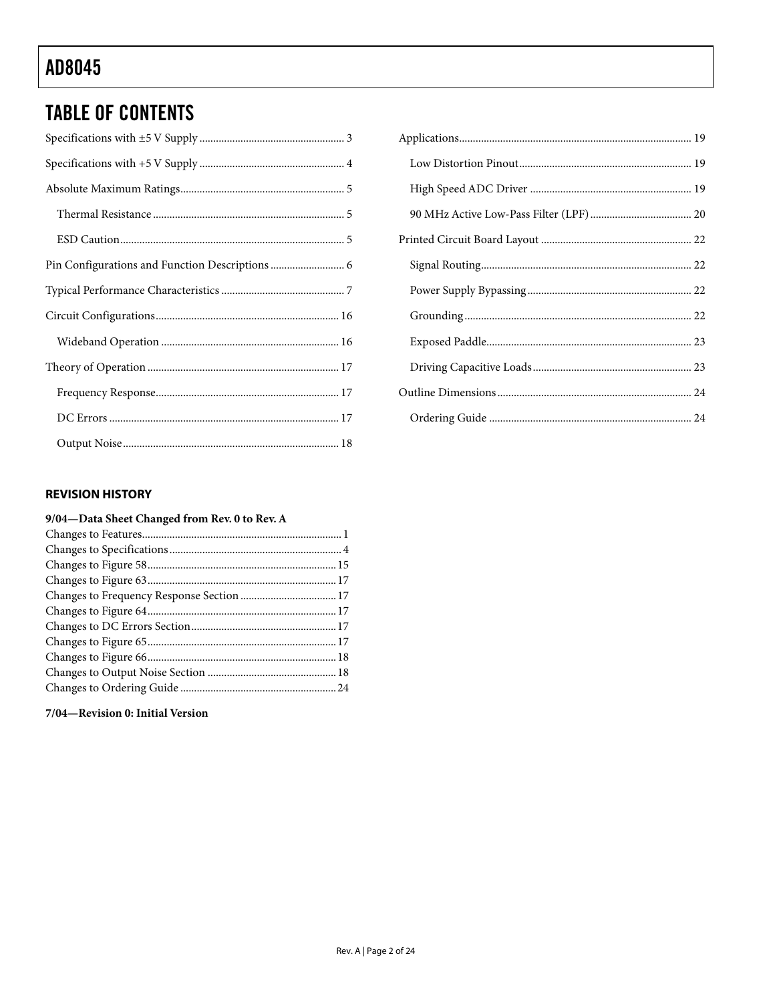## **TABLE OF CONTENTS**

#### **REVISION HISTORY**

#### 9/04-Data Sheet Changed from Rev. 0 to Rev. A

#### 7/04-Revision 0: Initial Version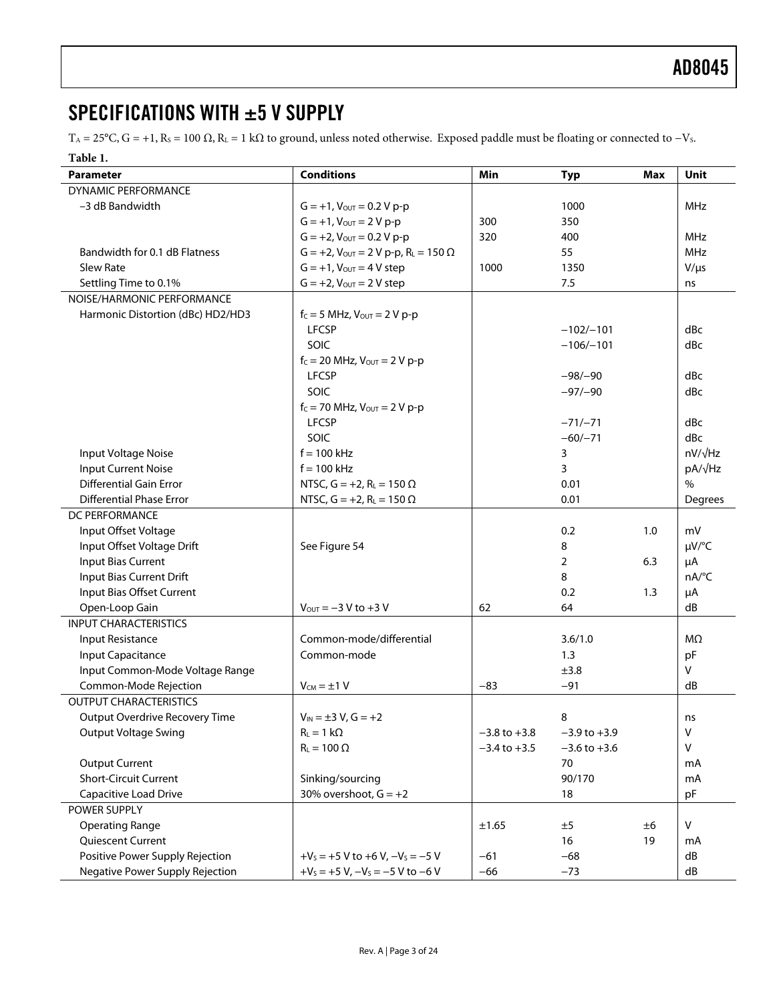### <span id="page-3-0"></span>SPECIFICATIONS WITH ±5 V SUPPLY

T<sub>A</sub> = 25°C, G = +1, R<sub>S</sub> = 100  $\Omega$ , R<sub>L</sub> = 1 k $\Omega$  to ground, unless noted otherwise. Exposed paddle must be floating or connected to -V<sub>S</sub>.

#### **Table 1.**

| Parameter                         | <b>Conditions</b>                                   | Min              | <b>Typ</b>       | Max | <b>Unit</b>    |
|-----------------------------------|-----------------------------------------------------|------------------|------------------|-----|----------------|
| DYNAMIC PERFORMANCE               |                                                     |                  |                  |     |                |
| -3 dB Bandwidth                   | $G = +1$ , $V_{OUT} = 0.2 V p-p$                    |                  | 1000             |     | MHz            |
|                                   | $G = +1$ , $V_{OUT} = 2 V p-p$                      | 300              | 350              |     |                |
|                                   | $G = +2$ , $V_{OUT} = 0.2 V p-p$                    | 320              | 400              |     | MHz            |
| Bandwidth for 0.1 dB Flatness     | $G = +2$ , $V_{OUT} = 2 V p-p$ , $R_L = 150 \Omega$ |                  | 55               |     | <b>MHz</b>     |
| <b>Slew Rate</b>                  | $G = +1$ , $V_{OUT} = 4 V$ step                     | 1000             | 1350             |     | $V/\mu s$      |
| Settling Time to 0.1%             | $G = +2$ , $V_{OUT} = 2 V$ step                     |                  | 7.5              |     | ns             |
| NOISE/HARMONIC PERFORMANCE        |                                                     |                  |                  |     |                |
| Harmonic Distortion (dBc) HD2/HD3 | $f_C = 5$ MHz, $V_{OUT} = 2$ V p-p                  |                  |                  |     |                |
|                                   | <b>LFCSP</b>                                        |                  | $-102/-101$      |     | dBc            |
|                                   | SOIC                                                |                  | $-106/-101$      |     | dBc            |
|                                   | $f_c = 20$ MHz, $V_{OUT} = 2 V p-p$                 |                  |                  |     |                |
|                                   | <b>LFCSP</b>                                        |                  | $-98/-90$        |     | dBc            |
|                                   | SOIC                                                |                  | $-97/-90$        |     | dBc            |
|                                   | $f_c = 70$ MHz, $V_{OUT} = 2 V p-p$                 |                  |                  |     |                |
|                                   | <b>LFCSP</b>                                        |                  | $-71/-71$        |     | dBc            |
|                                   | SOIC                                                |                  | $-60/-71$        |     | dBc            |
| Input Voltage Noise               | $f = 100$ kHz                                       |                  | 3                |     | $nV/\sqrt{Hz}$ |
| <b>Input Current Noise</b>        | $f = 100$ kHz                                       |                  | 3                |     | pA/√Hz         |
| <b>Differential Gain Error</b>    | NTSC, $G = +2$ , $R_L = 150 \Omega$                 |                  | 0.01             |     | $\frac{0}{0}$  |
| <b>Differential Phase Error</b>   | NTSC, $G = +2$ , $R_L = 150 \Omega$                 |                  | 0.01             |     | Degrees        |
| DC PERFORMANCE                    |                                                     |                  |                  |     |                |
| Input Offset Voltage              |                                                     |                  | 0.2              | 1.0 | mV             |
| Input Offset Voltage Drift        | See Figure 54                                       |                  | 8                |     | µV/°C          |
| <b>Input Bias Current</b>         |                                                     |                  | 2                | 6.3 | μA             |
| Input Bias Current Drift          |                                                     |                  | 8                |     | nA/°C          |
| Input Bias Offset Current         |                                                     |                  | 0.2              | 1.3 | μA             |
| Open-Loop Gain                    | $V_{OUT} = -3 V to +3 V$                            | 62               | 64               |     | dB             |
| <b>INPUT CHARACTERISTICS</b>      |                                                     |                  |                  |     |                |
| Input Resistance                  | Common-mode/differential                            |                  | 3.6/1.0          |     | MΩ             |
| Input Capacitance                 | Common-mode                                         |                  | 1.3              |     | pF             |
| Input Common-Mode Voltage Range   |                                                     |                  | ±3.8             |     | V              |
| Common-Mode Rejection             | $V_{CM} = \pm 1 V$                                  | $-83$            | $-91$            |     | dB             |
| <b>OUTPUT CHARACTERISTICS</b>     |                                                     |                  |                  |     |                |
| Output Overdrive Recovery Time    | $V_{IN} = \pm 3 V$ , $G = +2$                       |                  | 8                |     | ns             |
| Output Voltage Swing              | $R_L = 1 k\Omega$                                   | $-3.8$ to $+3.8$ | $-3.9$ to $+3.9$ |     | ٧              |
|                                   | $R_L = 100 \Omega$                                  | $-3.4$ to $+3.5$ | $-3.6$ to $+3.6$ |     | $\vee$         |
| <b>Output Current</b>             |                                                     |                  | 70               |     | mA             |
| <b>Short-Circuit Current</b>      | Sinking/sourcing                                    |                  | 90/170           |     | mA             |
| Capacitive Load Drive             | 30% overshoot, $G = +2$                             |                  | 18               |     | pF             |
| POWER SUPPLY                      |                                                     |                  |                  |     |                |
| <b>Operating Range</b>            |                                                     | ±1.65            | ±5               | ±6  | V              |
| Quiescent Current                 |                                                     |                  | 16               | 19  | mA             |
| Positive Power Supply Rejection   | $+V_s = +5 V$ to $+6 V$ , $-V_s = -5 V$             | $-61$            | $-68$            |     | dB             |
| Negative Power Supply Rejection   | $+V_s = +5 V$ , $-V_s = -5 V$ to $-6 V$             | $-66$            | $-73$            |     | dB             |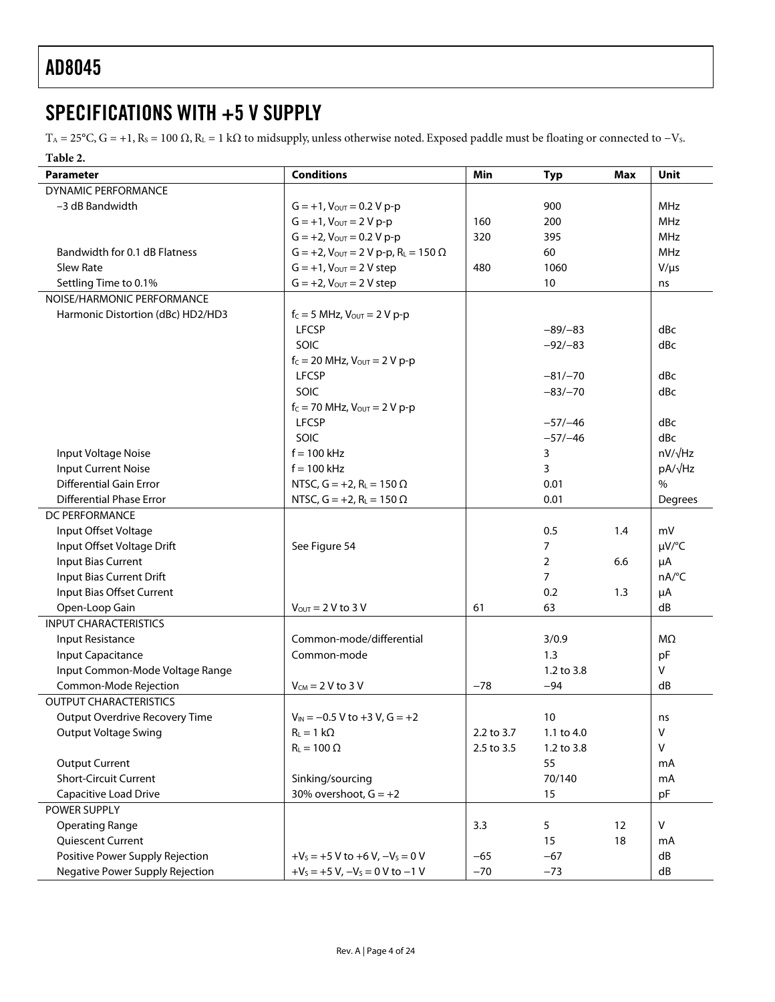### <span id="page-4-0"></span>SPECIFICATIONS WITH +5 V SUPPLY

T<sub>A</sub> = 25°C, G = +1, R<sub>S</sub> = 100  $\Omega$ , R<sub>L</sub> = 1 k $\Omega$  to midsupply, unless otherwise noted. Exposed paddle must be floating or connected to -V<sub>S</sub>.

#### **Table 2.**

| <b>Parameter</b>                  | <b>Conditions</b>                                            | Min        | <b>Typ</b>     | Max | <b>Unit</b>         |
|-----------------------------------|--------------------------------------------------------------|------------|----------------|-----|---------------------|
| <b>DYNAMIC PERFORMANCE</b>        |                                                              |            |                |     |                     |
| -3 dB Bandwidth                   | $G = +1$ , $V_{OUT} = 0.2 V p-p$                             |            | 900            |     | <b>MHz</b>          |
|                                   | $G = +1$ , $V_{OUT} = 2 V p-p$                               | 160        | 200            |     | <b>MHz</b>          |
|                                   | $G = +2$ , $V_{\text{OUT}} = 0.2 V p-p$                      | 320        | 395            |     | <b>MHz</b>          |
| Bandwidth for 0.1 dB Flatness     | $G = +2$ , $V_{\text{OUT}} = 2 V p-p$ , $R_{L} = 150 \Omega$ |            | 60             |     | <b>MHz</b>          |
| <b>Slew Rate</b>                  | $G = +1$ , $V_{OUT} = 2 V$ step                              | 480        | 1060           |     | $V/\mu s$           |
| Settling Time to 0.1%             | $G = +2$ , $V_{OUT} = 2 V$ step                              |            | 10             |     | ns                  |
| NOISE/HARMONIC PERFORMANCE        |                                                              |            |                |     |                     |
| Harmonic Distortion (dBc) HD2/HD3 | $f_C = 5$ MHz, $V_{OUT} = 2 V p-p$                           |            |                |     |                     |
|                                   | <b>LFCSP</b>                                                 |            | $-89/-83$      |     | dBc                 |
|                                   | SOIC                                                         |            | $-92/-83$      |     | dBc                 |
|                                   | $f_C = 20$ MHz, $V_{OUT} = 2 V p-p$                          |            |                |     |                     |
|                                   | <b>LFCSP</b>                                                 |            | $-81/-70$      |     | dBc                 |
|                                   | SOIC                                                         |            | $-83/-70$      |     | dBc                 |
|                                   | $f_c = 70$ MHz, $V_{OUT} = 2 V p-p$                          |            |                |     |                     |
|                                   | <b>LFCSP</b>                                                 |            | $-57/-46$      |     | dBc                 |
|                                   | SOIC                                                         |            | $-57/-46$      |     | dBc                 |
| Input Voltage Noise               | $f = 100$ kHz                                                |            | 3              |     | $nV/\sqrt{Hz}$      |
| <b>Input Current Noise</b>        | $f = 100$ kHz                                                |            | 3              |     | pA/√Hz              |
| <b>Differential Gain Error</b>    | NTSC, $G = +2$ , $R_L = 150 \Omega$                          |            | 0.01           |     | $\%$                |
| <b>Differential Phase Error</b>   | NTSC, $G = +2$ , $R_L = 150 \Omega$                          |            | 0.01           |     | Degrees             |
| <b>DC PERFORMANCE</b>             |                                                              |            |                |     |                     |
| Input Offset Voltage              |                                                              |            | 0.5            | 1.4 | mV                  |
| Input Offset Voltage Drift        | See Figure 54                                                |            | $\overline{7}$ |     | µV/°C               |
| Input Bias Current                |                                                              |            | $\overline{2}$ | 6.6 | μA                  |
| Input Bias Current Drift          |                                                              |            | $\overline{7}$ |     | $nA$ <sup>o</sup> C |
| Input Bias Offset Current         |                                                              |            | 0.2            | 1.3 | μA                  |
| Open-Loop Gain                    | $V_{\text{OUT}} = 2 V$ to 3 V                                | 61         | 63             |     | dB                  |
| <b>INPUT CHARACTERISTICS</b>      |                                                              |            |                |     |                     |
| Input Resistance                  | Common-mode/differential                                     |            | 3/0.9          |     | ΜΩ                  |
| Input Capacitance                 | Common-mode                                                  |            | 1.3            |     | pF                  |
| Input Common-Mode Voltage Range   |                                                              |            | 1.2 to 3.8     |     | V                   |
| Common-Mode Rejection             | $V_{CM}$ = 2 V to 3 V                                        | $-78$      | $-94$          |     | dB                  |
| <b>OUTPUT CHARACTERISTICS</b>     |                                                              |            |                |     |                     |
| Output Overdrive Recovery Time    | $V_{IN} = -0.5 V$ to +3 V, G = +2                            |            | 10             |     | ns                  |
| <b>Output Voltage Swing</b>       | $R_L = 1 k\Omega$                                            | 2.2 to 3.7 | 1.1 to 4.0     |     | V                   |
|                                   | $R_L = 100 \Omega$                                           | 2.5 to 3.5 | 1.2 to 3.8     |     | V                   |
| <b>Output Current</b>             |                                                              |            | 55             |     | mA                  |
| <b>Short-Circuit Current</b>      | Sinking/sourcing                                             |            | 70/140         |     | mA                  |
| Capacitive Load Drive             | 30% overshoot, $G = +2$                                      |            | 15             |     | pF                  |
| POWER SUPPLY                      |                                                              |            |                |     |                     |
| <b>Operating Range</b>            |                                                              | 3.3        | 5              | 12  | V                   |
| Quiescent Current                 |                                                              |            | 15             | 18  | mA                  |
| Positive Power Supply Rejection   | $+V_s = +5$ V to $+6$ V, $-V_s = 0$ V                        | $-65$      | $-67$          |     | dB                  |
| Negative Power Supply Rejection   | $+V_s = +5 V, -V_s = 0 V to -1 V$                            | $-70$      | $-73$          |     | ${\sf dB}$          |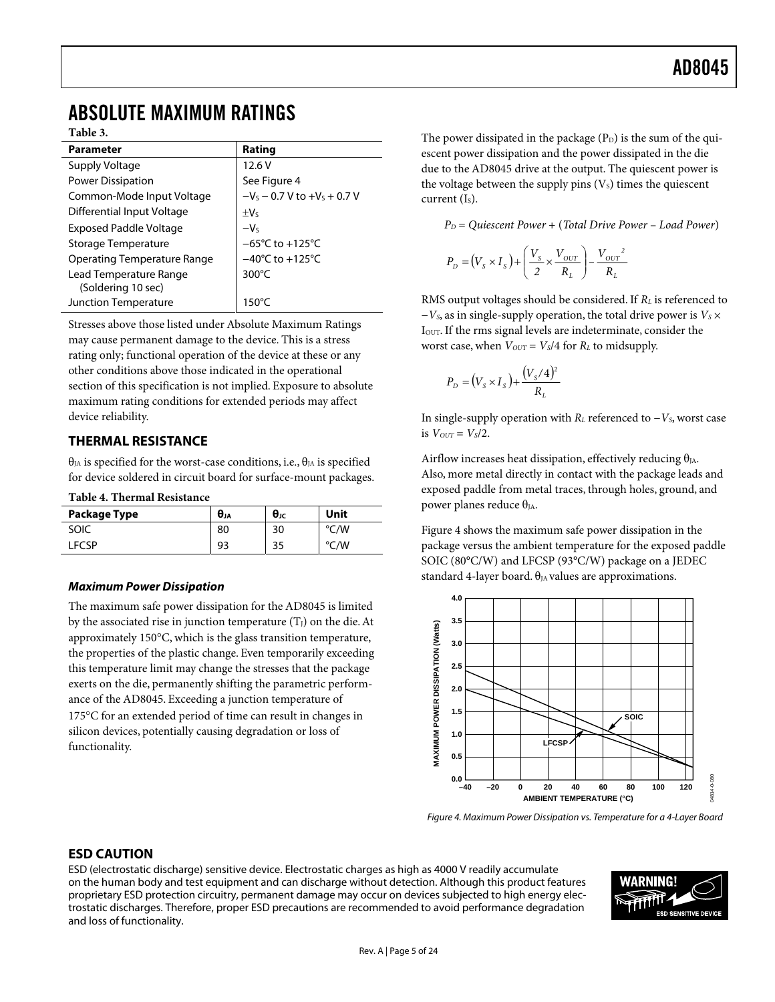### <span id="page-5-0"></span>ABSOLUTE MAXIMUM RATINGS

**Table 3.** 

| <b>Parameter</b>                             | Rating                                    |
|----------------------------------------------|-------------------------------------------|
| Supply Voltage                               | 12.6V                                     |
| Power Dissipation                            | See Figure 4                              |
| Common-Mode Input Voltage                    | $-V_s$ – 0.7 V to +V <sub>s</sub> + 0.7 V |
| Differential Input Voltage                   | $+V5$                                     |
| Exposed Paddle Voltage                       | $-V5$                                     |
| Storage Temperature                          | $-65^{\circ}$ C to $+125^{\circ}$ C       |
| Operating Temperature Range                  | $-40^{\circ}$ C to $+125^{\circ}$ C       |
| Lead Temperature Range<br>(Soldering 10 sec) | $300^{\circ}$ C                           |
| Junction Temperature                         | $150^{\circ}$ C                           |

Stresses above those listed under Absolute Maximum Ratings may cause permanent damage to the device. This is a stress rating only; functional operation of the device at these or any other conditions above those indicated in the operational section of this specification is not implied. Exposure to absolute maximum rating conditions for extended periods may affect device reliability.

#### **THERMAL RESISTANCE**

 $\theta_{IA}$  is specified for the worst-case conditions, i.e.,  $\theta_{IA}$  is specified for device soldered in circuit board for surface-mount packages.

**Table 4. Thermal Resistance** 

| Package Type | $\boldsymbol{\theta}_{JA}$ | $θ$ ις | Unit         |
|--------------|----------------------------|--------|--------------|
| SOIC         | 80                         | 30     | °C/W         |
| <b>FCSP</b>  | 93                         | 35     | /W<br>$\sim$ |

#### **Maximum Power Dissipation**

The maximum safe power dissipation for the AD8045 is limited by the associated rise in junction temperature  $(T<sub>I</sub>)$  on the die. At approximately 150°C, which is the glass transition temperature, the properties of the plastic change. Even temporarily exceeding this temperature limit may change the stresses that the package exerts on the die, permanently shifting the parametric performance of the AD8045. Exceeding a junction temperature of 175°C for an extended period of time can result in changes in silicon devices, potentially causing degradation or loss of functionality.

The power dissipated in the package  $(P_D)$  is the sum of the quiescent power dissipation and the power dissipated in the die due to the AD8045 drive at the output. The quiescent power is the voltage between the supply pins  $(V<sub>S</sub>)$  times the quiescent current  $(I<sub>s</sub>)$ .

*PD* = *Quiescent Power* + (*Total Drive Power* – *Load Power*)

$$
P_D = (V_s \times I_s) + \left(\frac{V_s}{2} \times \frac{V_{OUT}}{R_L}\right) - \frac{V_{OUT}^2}{R_L}
$$

RMS output voltages should be considered. If *RL* is referenced to −*V<sub>S</sub>*, as in single-supply operation, the total drive power is *V<sub>S</sub>* ×  $I<sub>OUT</sub>$ . If the rms signal levels are indeterminate, consider the worst case, when  $V_{OUT} = V_s/4$  for  $R_L$  to midsupply.

$$
P_D = (V_s \times I_s) + \frac{(V_s/4)^2}{R_L}
$$

In single-supply operation with *RL* referenced to −*VS*, worst case is  $V_{OUT} = V_s/2$ .

Airflow increases heat dissipation, effectively reducing  $\theta_{JA}$ . Also, more metal directly in contact with the package leads and exposed paddle from metal traces, through holes, ground, and power planes reduce  $θ<sub>IA</sub>$ .

[Figure 4](#page-5-1) shows the maximum safe power dissipation in the package versus the ambient temperature for the exposed paddle SOIC (80°C/W) and LFCSP (93°C/W) package on a JEDEC standard 4-layer board.  $\theta_{JA}$  values are approximations.

<span id="page-5-1"></span>

Figure 4. Maximum Power Dissipation vs. Temperature for a 4-Layer Board

#### **ESD CAUTION**

ESD (electrostatic discharge) sensitive device. Electrostatic charges as high as 4000 V readily accumulate on the human body and test equipment and can discharge without detection. Although this product features proprietary ESD protection circuitry, permanent damage may occur on devices subjected to high energy electrostatic discharges. Therefore, proper ESD precautions are recommended to avoid performance degradation and loss of functionality.

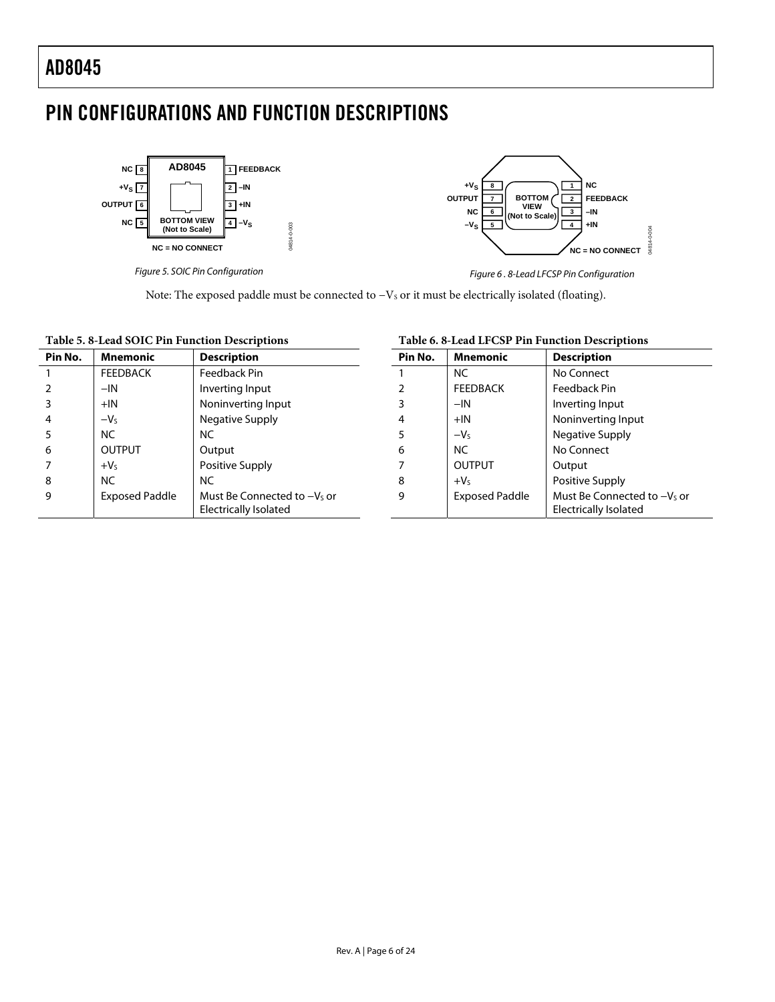### <span id="page-6-0"></span>PIN CONFIGURATIONS AND FUNCTION DESCRIPTIONS

04814-0-003



Figure 5. SOIC Pin Configuration



Figure 6 . 8-Lead LFCSP Pin Configuration

Note: The exposed paddle must be connected to -Vs or it must be electrically isolated (floating).

#### **Table 5. 8-Lead SOIC Pin Function Descriptions**

| Table 5.8-Lead SOIC Pin Function Descriptions |                       |                                                      | Table 6.8-Lead LFCSP Pin Function Descriptions |                       |                                                      |  |
|-----------------------------------------------|-----------------------|------------------------------------------------------|------------------------------------------------|-----------------------|------------------------------------------------------|--|
| Pin No.                                       | <b>Mnemonic</b>       | <b>Description</b>                                   | Pin No.                                        | <b>Mnemonic</b>       | <b>Description</b>                                   |  |
|                                               | <b>FEEDBACK</b>       | Feedback Pin                                         |                                                | <b>NC</b>             | No Connect                                           |  |
| 2                                             | $-IN$                 | Inverting Input                                      |                                                | <b>FEEDBACK</b>       | Feedback Pin                                         |  |
| 3                                             | $+IN$                 | Noninverting Input                                   | 3                                              | $-IN$                 | Inverting Input                                      |  |
| 4                                             | $-VS$                 | Negative Supply                                      | 4                                              | $+IN$                 | Noninverting Input                                   |  |
| 5                                             | <b>NC</b>             | NC.                                                  | 5                                              | $-V5$                 | Negative Supply                                      |  |
| 6                                             | <b>OUTPUT</b>         | Output                                               | 6                                              | <b>NC</b>             | No Connect                                           |  |
|                                               | $+V5$                 | Positive Supply                                      |                                                | <b>OUTPUT</b>         | Output                                               |  |
| 8                                             | <b>NC</b>             | <b>NC</b>                                            | 8                                              | $+VS$                 | Positive Supply                                      |  |
| 9                                             | <b>Exposed Paddle</b> | Must Be Connected to -Vs or<br>Electrically Isolated | 9                                              | <b>Exposed Paddle</b> | Must Be Connected to -Vs or<br>Electrically Isolated |  |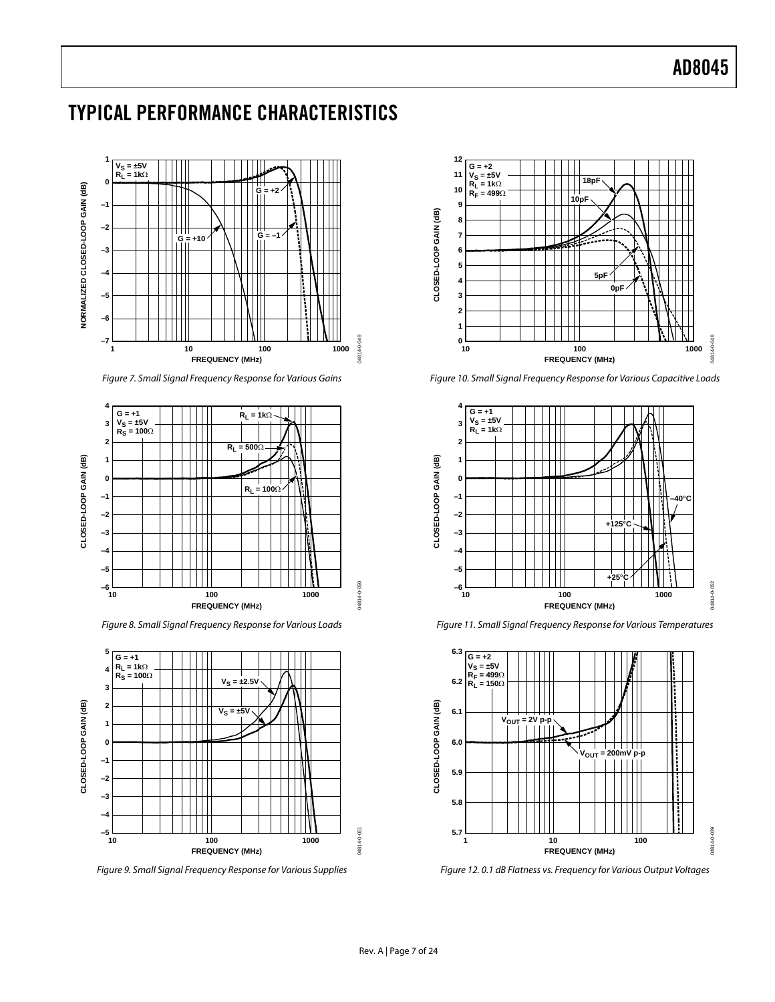### <span id="page-7-0"></span>TYPICAL PERFORMANCE CHARACTERISTICS



Figure 7. Small Signal Frequency Response for Various Gains



Figure 8. Small Signal Frequency Response for Various Loads



Figure 9. Small Signal Frequency Response for Various Supplies



Figure 10. Small Signal Frequency Response for Various Capacitive Loads



Figure 11. Small Signal Frequency Response for Various Temperatures



Figure 12. 0.1 dB Flatness vs. Frequency for Various Output Voltages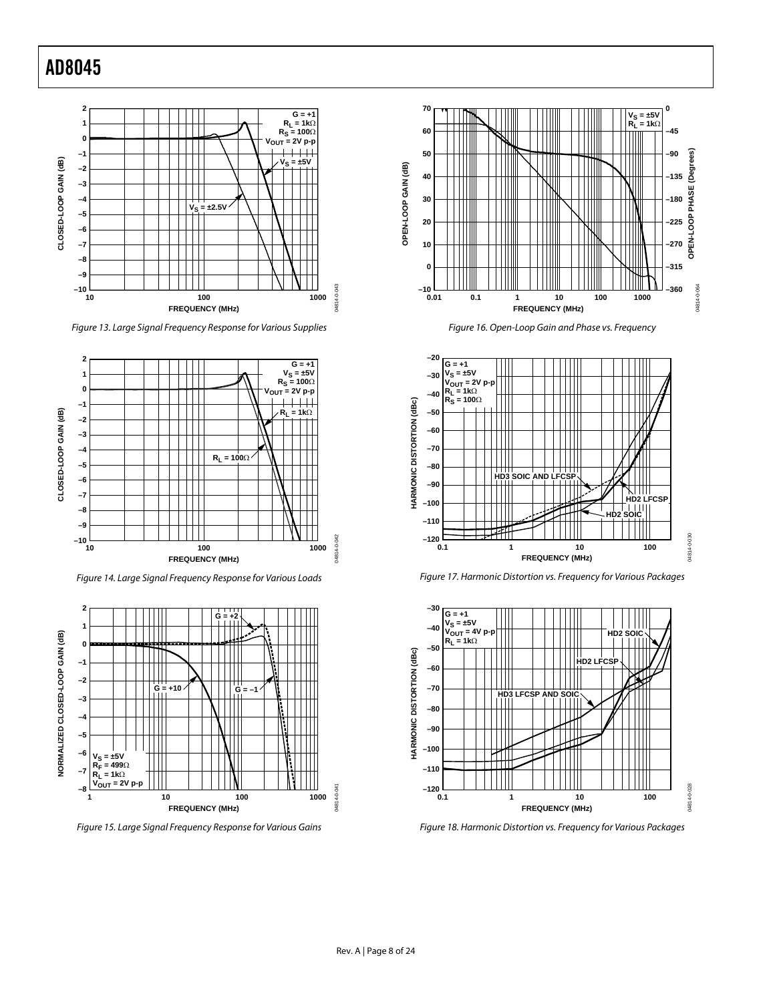

Figure 13. Large Signal Frequency Response for Various Supplies



Figure 14. Large Signal Frequency Response for Various Loads



Figure 15. Large Signal Frequency Response for Various Gains



Figure 16. Open-Loop Gain and Phase vs. Frequency



Figure 17. Harmonic Distortion vs. Frequency for Various Packages



Figure 18. Harmonic Distortion vs. Frequency for Various Packages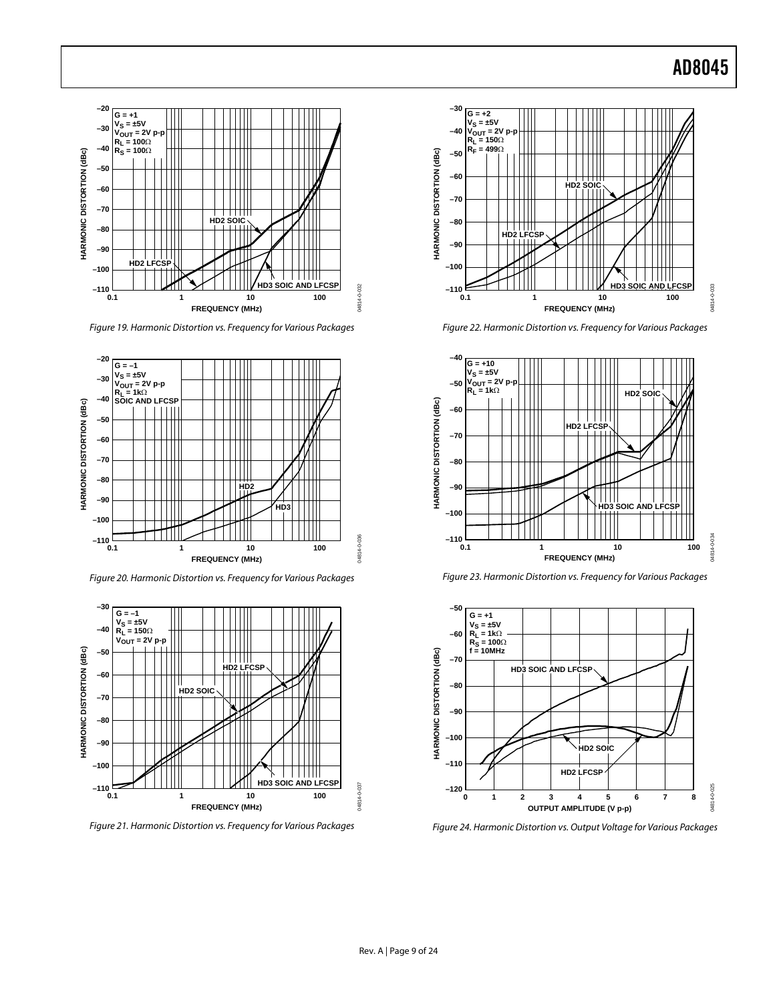

Figure 19. Harmonic Distortion vs. Frequency for Various Packages



Figure 20. Harmonic Distortion vs. Frequency for Various Packages



Figure 21. Harmonic Distortion vs. Frequency for Various Packages



Figure 22. Harmonic Distortion vs. Frequency for Various Packages



Figure 23. Harmonic Distortion vs. Frequency for Various Packages



Figure 24. Harmonic Distortion vs. Output Voltage for Various Packages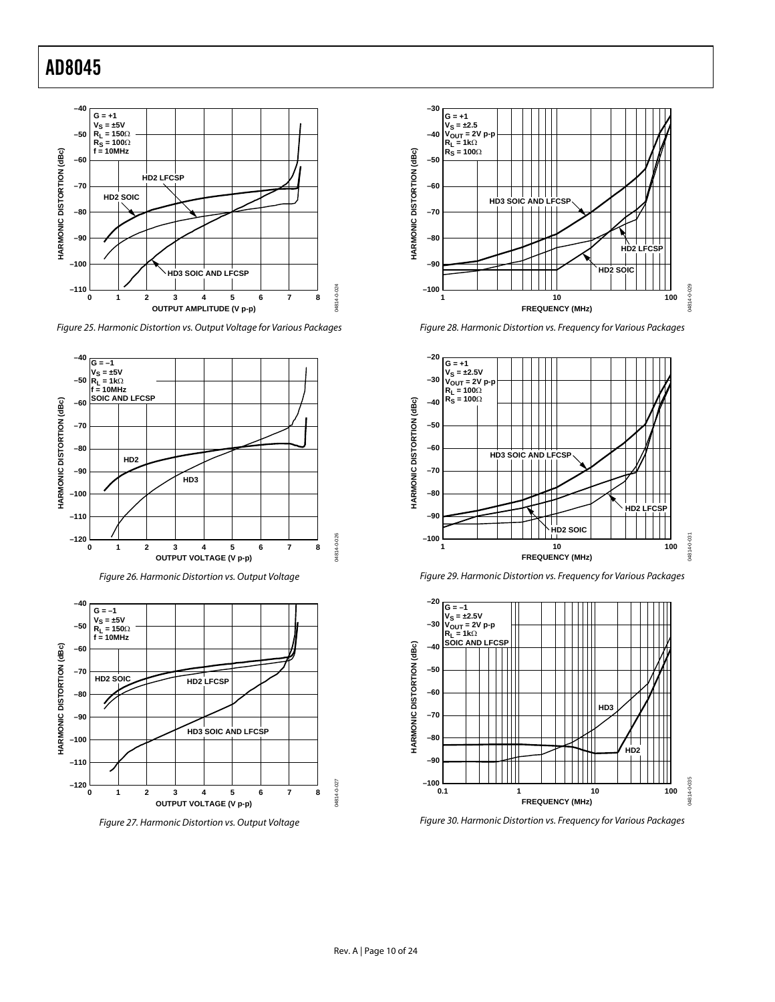

Figure 25. Harmonic Distortion vs. Output Voltage for Various Packages









Figure 28. Harmonic Distortion vs. Frequency for Various Packages







Figure 30. Harmonic Distortion vs. Frequency for Various Packages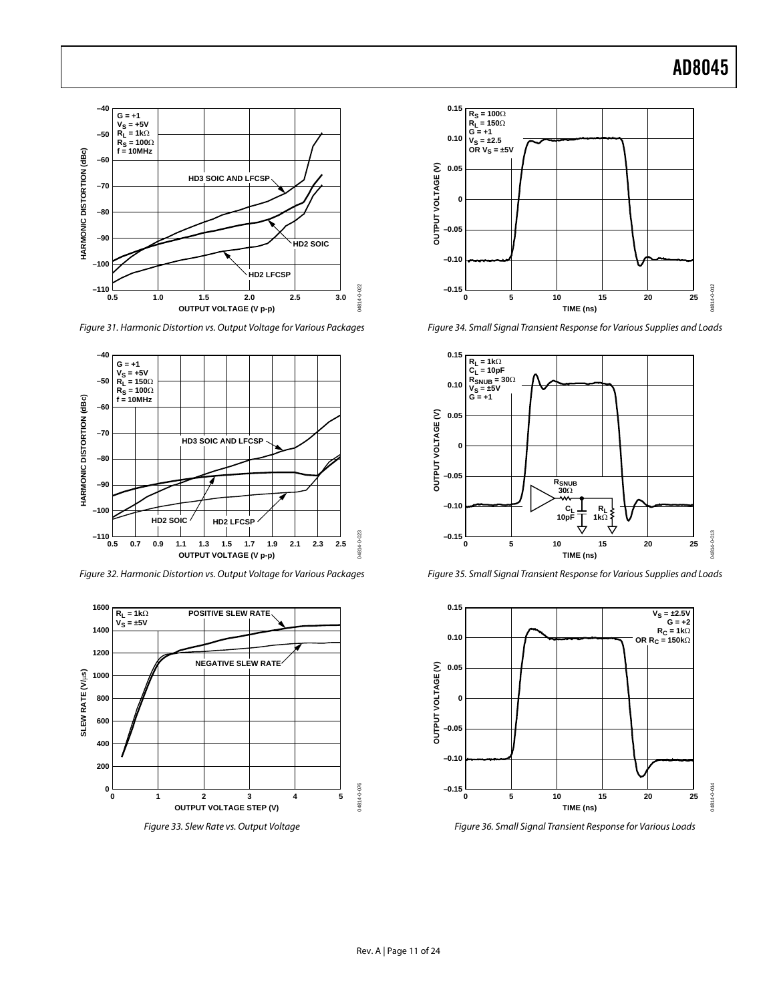

Figure 31. Harmonic Distortion vs. Output Voltage for Various Packages



Figure 32. Harmonic Distortion vs. Output Voltage for Various Packages



Figure 33. Slew Rate vs. Output Voltage



Figure 34. Small Signal Transient Response for Various Supplies and Loads



Figure 35. Small Signal Transient Response for Various Supplies and Loads



Figure 36. Small Signal Transient Response for Various Loads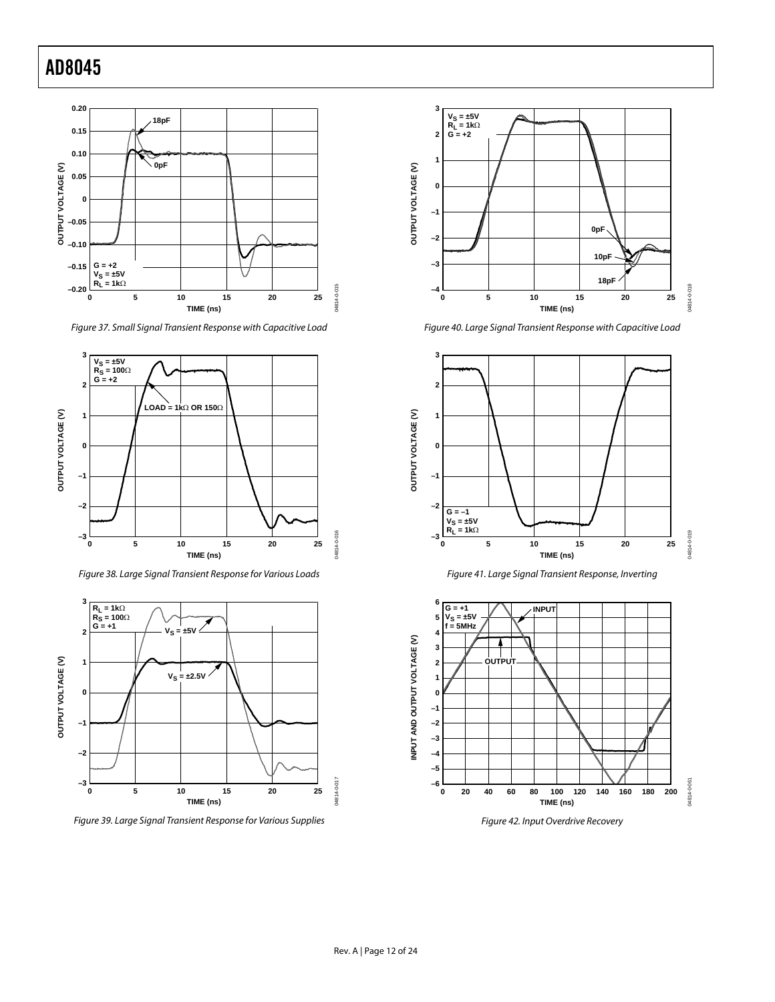

<span id="page-12-0"></span>Figure 37. Small Signal Transient Response with Capacitive Load



Figure 38. Large Signal Transient Response for Various Loads



Figure 39. Large Signal Transient Response for Various Supplies



Figure 40. Large Signal Transient Response with Capacitive Load







Figure 42. Input Overdrive Recovery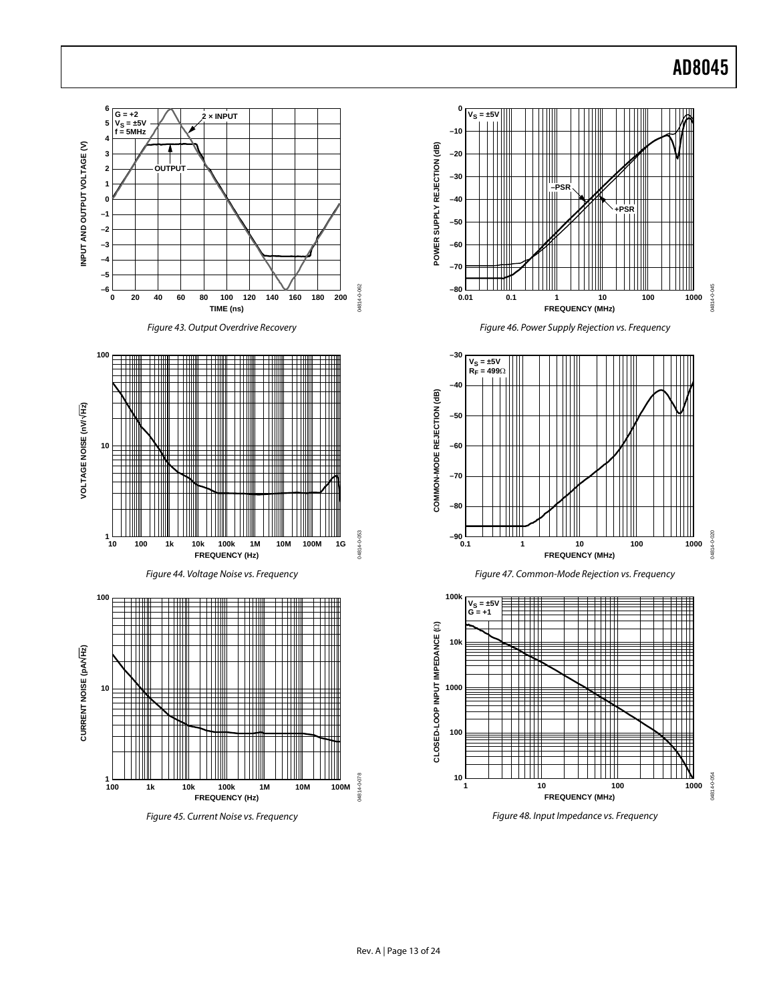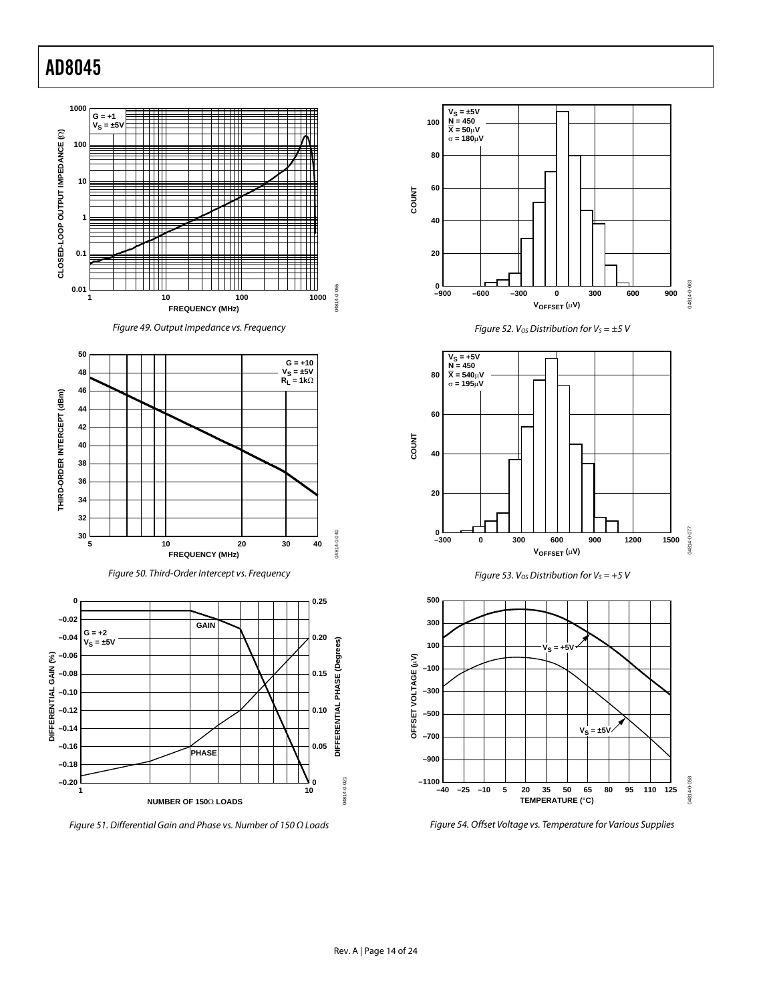









Figure 51. Differential Gain and Phase vs. Number of 150 Ω Loads











<span id="page-14-0"></span>Figure 54. Offset Voltage vs. Temperature for Various Supplies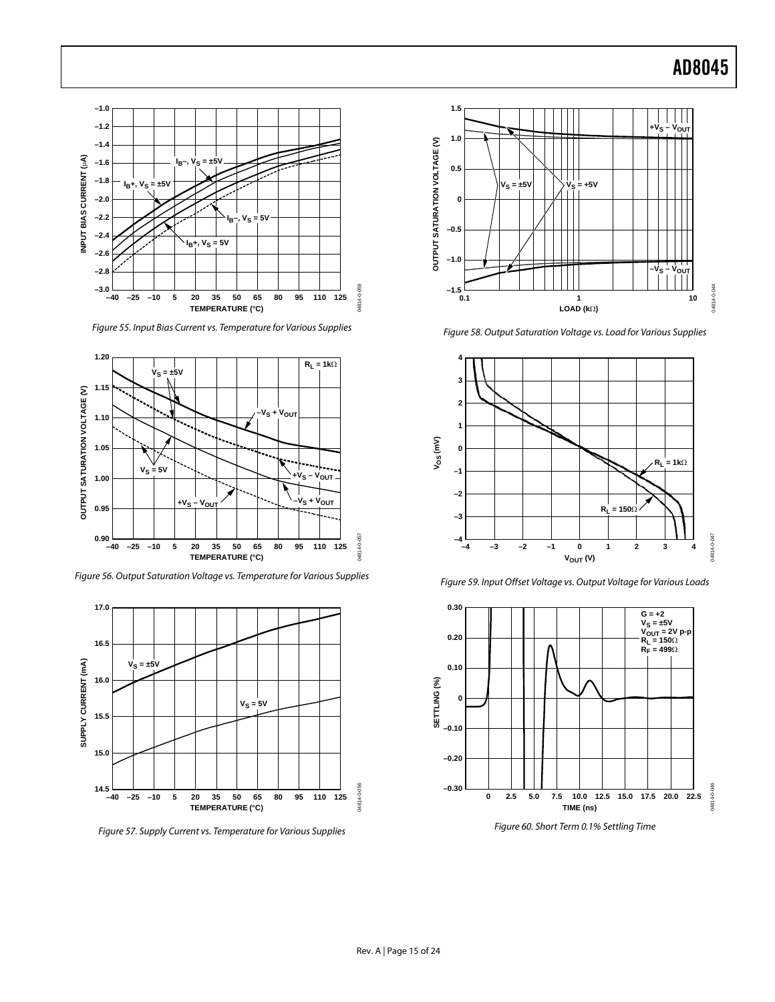

Figure 55. Input Bias Current vs. Temperature for Various Supplies



Figure 56. Output Saturation Voltage vs. Temperature for Various Supplies



Figure 57. Supply Current vs. Temperature for Various Supplies



Figure 58. Output Saturation Voltage vs. Load for Various Supplies





Figure 59. Input Offset Voltage vs. Output Voltage for Various Loads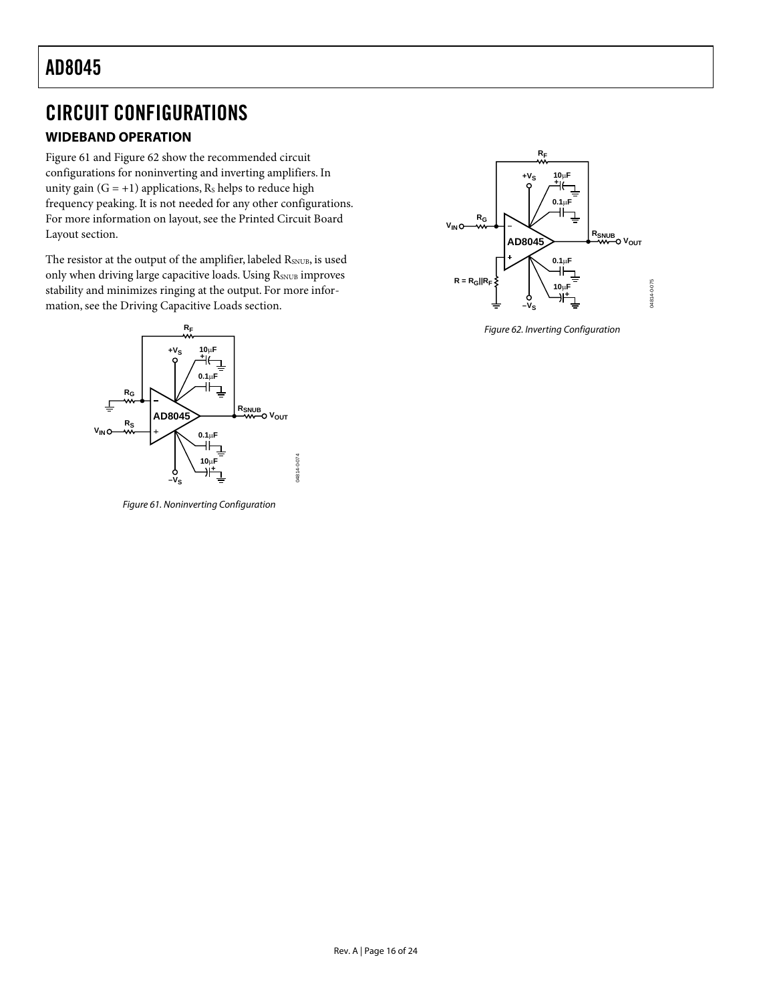### <span id="page-16-0"></span>CIRCUIT CONFIGURATIONS

### **WIDEBAND OPERATION**

[Figure 61 a](#page-16-1)nd [Figure 62 s](#page-16-2)how the recommended circuit configurations for noninverting and inverting amplifiers. In unity gain  $(G = +1)$  applications, R<sub>s</sub> helps to reduce high frequency peaking. It is not needed for any other configurations. For more information on layout, see the [Printed Circuit Board](#page-22-1) [Layout s](#page-22-1)ection.

The resistor at the output of the amplifier, labeled RSNUB, is used only when driving large capacitive loads. Using RSNUB improves stability and minimizes ringing at the output. For more information, see the [Driving Capacitive Loads](#page-23-1) section.

<span id="page-16-1"></span>

Figure 61. Noninverting Configuration

<span id="page-16-2"></span>

Figure 62. Inverting Configuration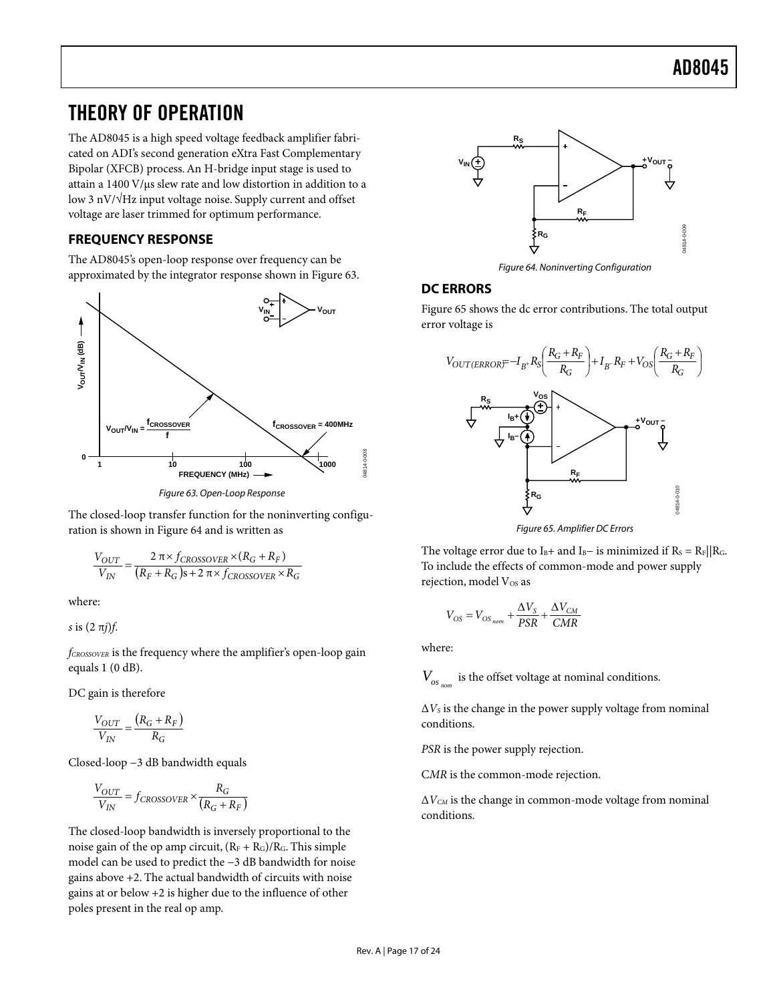### <span id="page-17-0"></span>THEORY OF OPERATION

The AD8045 is a high speed voltage feedback amplifier fabricated on ADI's second generation eXtra Fast Complementary Bipolar (XFCB) process.An H-bridge input stage is used to attain a  $1400 \text{ V/}\mu\text{s}$  slew rate and low distortion in addition to a low 3 nV/√Hz input voltage noise. Supply current and offset voltage are laser trimmed for optimum performance.

#### **FREQUENCY RESPONSE**

The AD8045's open-loop response over frequency can be approximated by the integrator response shown in [Figure 63.](#page-17-1) 

<span id="page-17-1"></span>

Figure 63. Open-Loop Response

The closed-loop transfer function for the noninverting configuration is shown in [Figure 64 a](#page-17-2)nd is written as

$$
\frac{V_{OUT}}{V_{IN}} = \frac{2 \pi \times f_{CROSOVER} \times (R_G + R_F)}{(R_F + R_G)s + 2 \pi \times f_{CROSOVER} \times R_G}
$$

where:

*s* is (2 π*j*)*f*.

*fCROSSOVER* is the frequency where the amplifier's open-loop gain equals 1 (0 dB).

DC gain is therefore

$$
\frac{V_{OUT}}{V_{IN}} = \frac{(R_G + R_F)}{R_G}
$$

Closed-loop −3 dB bandwidth equals

$$
\frac{V_{OUT}}{V_{IN}} = f_{CROSOVER} \times \frac{R_G}{(R_G + R_F)}
$$

The closed-loop bandwidth is inversely proportional to the noise gain of the op amp circuit,  $(R_F + R_G)/R_G$ . This simple model can be used to predict the −3 dB bandwidth for noise gains above +2. The actual bandwidth of circuits with noise gains at or below +2 is higher due to the influence of other poles present in the real op amp.

<span id="page-17-2"></span>

Figure 64. Noninverting Configuration

#### **DC ERRORS**

[Figure 65 s](#page-17-3)hows the dc error contributions. The total output error voltage is

<span id="page-17-3"></span>

Figure 65. Amplifier DC Errors

The voltage error due to I<sub>B</sub>+ and I<sub>B</sub>− is minimized if R<sub>S</sub> = R<sub>F</sub>||R<sub>G</sub>. To include the effects of common-mode and power supply rejection, model Vos as

$$
V_{OS} = V_{OS_{nom}} + \frac{\Delta V_S}{PSR} + \frac{\Delta V_{CM}}{CMR}
$$

where:

 $V_{_{OS_{nom}}}$  is the offset voltage at nominal conditions.

 $\Delta V_s$  is the change in the power supply voltage from nominal conditions.

*PSR* is the power supply rejection.

C*MR* is the common-mode rejection.

Δ*VCM* is the change in common-mode voltage from nominal conditions.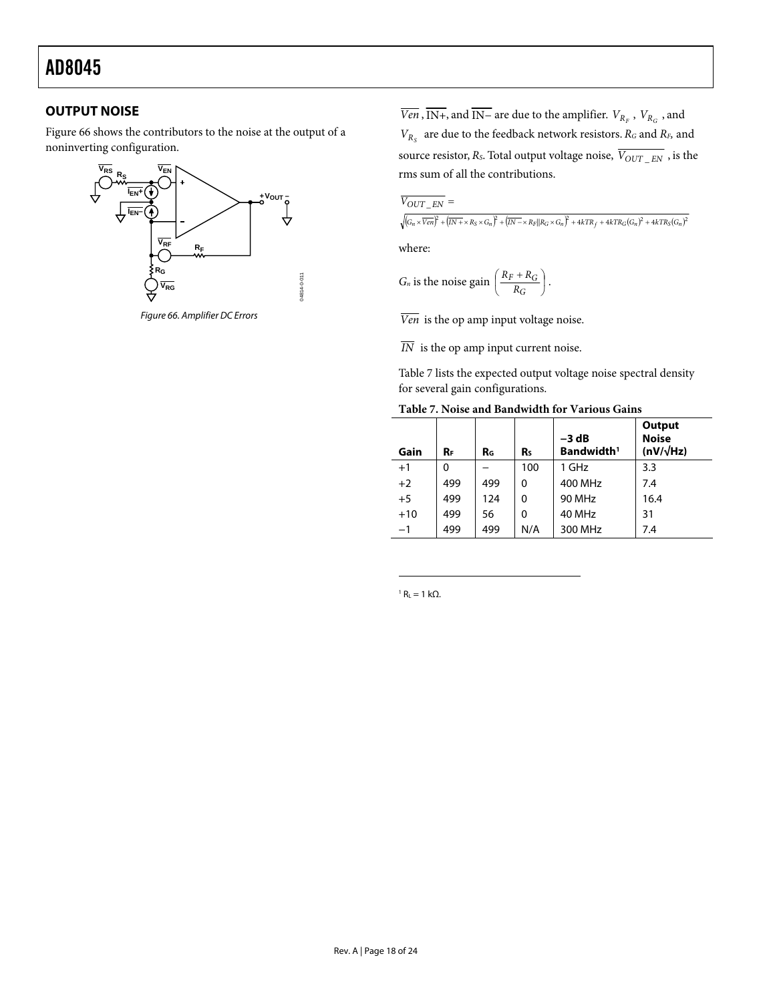#### <span id="page-18-0"></span>**OUTPUT NOISE**

[Figure 66 s](#page-18-1)hows the contributors to the noise at the output of a noninverting configuration.

<span id="page-18-1"></span>

Figure 66. Amplifier DC Errors

*Ven* , IN+, and IN− are due to the amplifier.  $V_{R_F}$  ,  $V_{R_G}$  , and  $V_{R_S}$  are due to the feedback network resistors.  $R_G$  and  $R_F$  and source resistor,  $R_{\scriptscriptstyle S}$  . Total output voltage noise,  $\overline{V_{OUT\_EN}}$  , is the rms sum of all the contributions.

$$
\overline{V_{OUT\_EN}} =
$$

 $\sqrt{\left(G_n\times\overline{ Ven}\right)^2+\left(\overline{IN+}\times R_S\times G_n\right)^2+\left(\overline{IN-}\times R_F\vert\vert R_G\times G_n\right)^2+4kTR_f+4kTR_G(G_n)^2+4kTR_S(G_n)^2}$ 

where:

$$
G_n \text{ is the noise gain } \left( \frac{R_F + R_G}{R_G} \right).
$$

*Ven* is the op amp input voltage noise.

 $\overline{IN}$  is the op amp input current noise.

[Table 7](#page-18-2) lists the expected output voltage noise spectral density for several gain configurations.

<span id="page-18-2"></span>

| Table 7. Noise and Bandwidth for Various Gains |  |  |
|------------------------------------------------|--|--|
|------------------------------------------------|--|--|

| Gain  | Rг  | R <sub>G</sub> | R٠  | $-3 dB$<br>Bandwidth <sup>1</sup> | Output<br><b>Noise</b><br>$(nV/\sqrt{Hz})$ |
|-------|-----|----------------|-----|-----------------------------------|--------------------------------------------|
| $+1$  | 0   |                | 100 | 1 GHz                             | 3.3                                        |
| $+2$  | 499 | 499            | 0   | 400 MHz                           | 7.4                                        |
| $+5$  | 499 | 124            | 0   | <b>90 MHz</b>                     | 16.4                                       |
| $+10$ | 499 | 56             | 0   | 40 MHz                            | 31                                         |
| $-1$  | 499 | 499            | N/A | 300 MHz                           | 7.4                                        |

<sup>1</sup> R<sub>L</sub> = 1 kΩ.

 $\overline{a}$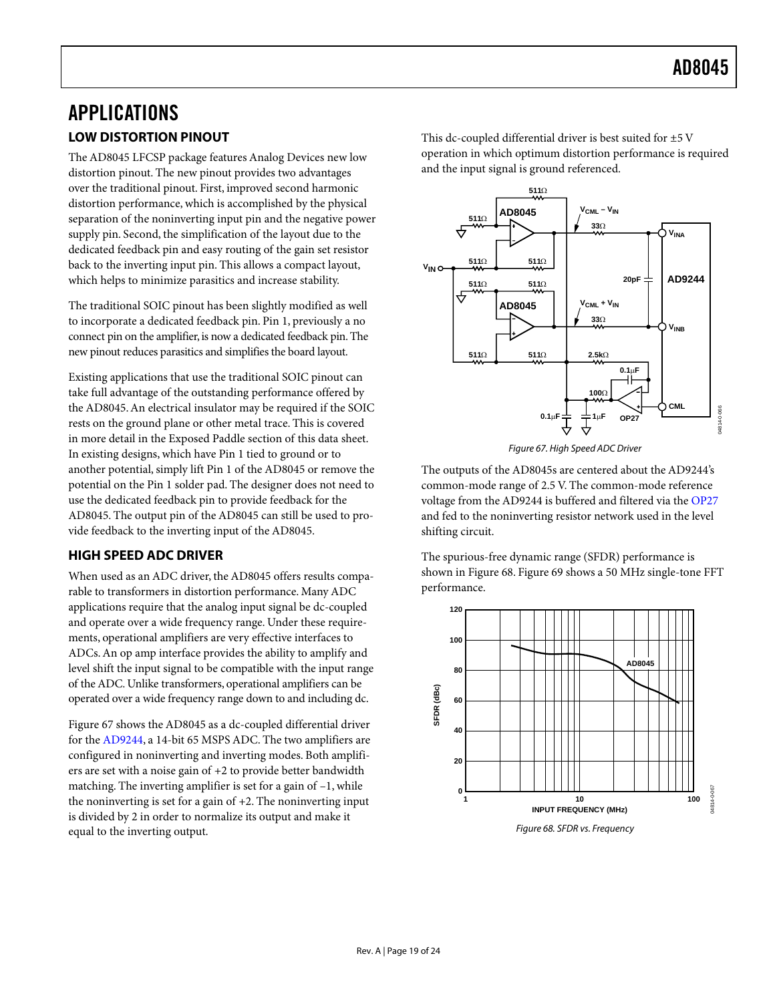### <span id="page-19-0"></span>APPLICATIONS **LOW DISTORTION PINOUT**

The AD8045 LFCSP package features Analog Devices new low distortion pinout. The new pinout provides two advantages over the traditional pinout. First, improved second harmonic distortion performance, which is accomplished by the physical separation of the noninverting input pin and the negative power supply pin. Second, the simplification of the layout due to the dedicated feedback pin and easy routing of the gain set resistor back to the inverting input pin. This allows a compact layout, which helps to minimize parasitics and increase stability.

The traditional SOIC pinout has been slightly modified as well to incorporate a dedicated feedback pin. Pin 1, previously a no connect pin on the amplifier, is now a dedicated feedback pin. The new pinout reduces parasitics and simplifies the board layout.

Existing applications that use the traditional SOIC pinout can take full advantage of the outstanding performance offered by the AD8045.An electrical insulator may be required if the SOIC rests on the ground plane or other metal trace. This is covered in more detail in the [Exposed Paddle s](#page-23-2)ection of this data sheet. In existing designs, which have Pin 1 tied to ground or to another potential, simply lift Pin 1 of the AD8045 or remove the potential on the Pin 1 solder pad. The designer does not need to use the dedicated feedback pin to provide feedback for the AD8045. The output pin of the AD8045 can still be used to provide feedback to the inverting input of the AD8045.

#### **HIGH SPEED ADC DRIVER**

When used as an ADC driver, the AD8045 offers results comparable to transformers in distortion performance. Many ADC applications require that the analog input signal be dc-coupled and operate over a wide frequency range. Under these requirements, operational amplifiers are very effective interfaces to ADCs.An op amp interface provides the ability to amplify and level shift the input signal to be compatible with the input range of theADC. Unlike transformers, operational amplifiers can be operated over a wide frequency range down to and including dc.

[Figure 67 s](#page-19-1)hows the AD8045 as a dc-coupled differential driver for the [AD9244](http://www.analog.com/Analog_Root/productPage/productHome/0%2C2121%2CAD9244%2C00.html), a 14-bit 65 MSPS ADC. The two amplifiers are configured in noninverting and inverting modes. Both amplifiers are set with a noise gain of +2 to provide better bandwidth matching. The inverting amplifier is set for a gain of –1, while the noninverting is set for a gain of  $+2$ . The noninverting input is divided by 2 in order to normalize its output and make it equal to the inverting output.

This dc-coupled differential driver is best suited for ±5 V operation in which optimum distortion performance is required and the input signal is ground referenced.

<span id="page-19-1"></span>



The outputs of the AD8045s are centered about the AD9244's common-mode range of 2.5 V. The common-mode reference voltage from the AD9244 is buffered and filtered via the [OP27](http://www.analog.com/Analog_Root/productPage/productHome/0%2C2121%2COP27%2C00.html) and fed to the noninverting resistor network used in the level shifting circuit.

The spurious-free dynamic range (SFDR) performance is shown in [Figure 68.](#page-19-2) [Figure 69](#page-20-1) shows a 50 MHz single-tone FFT performance.

<span id="page-19-2"></span>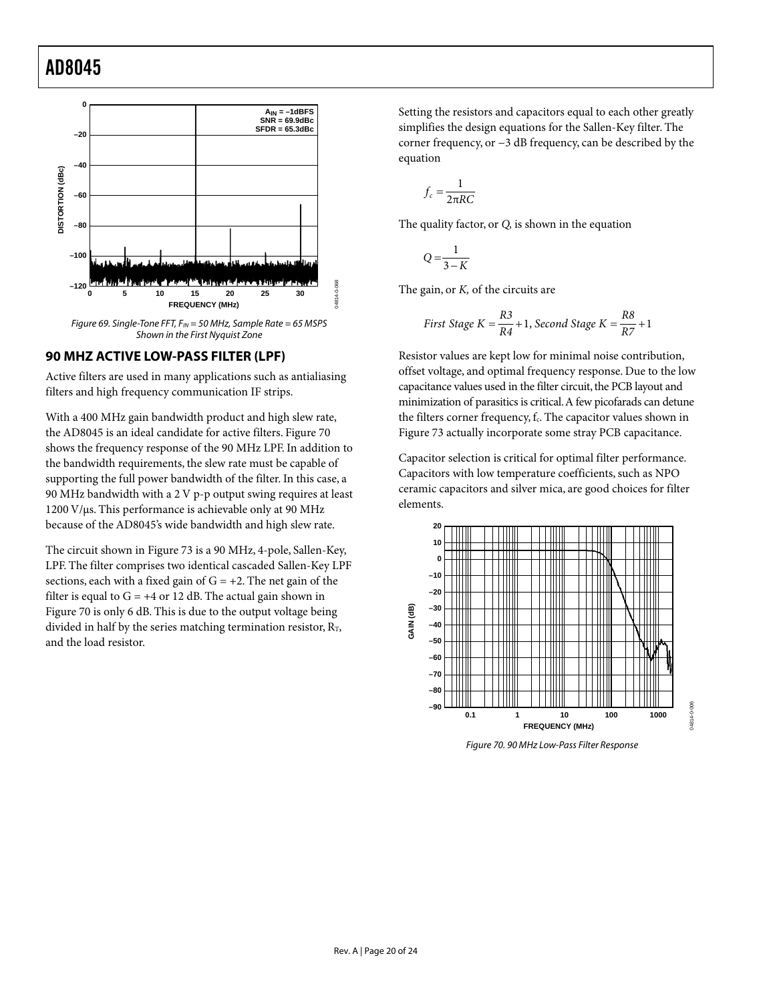<span id="page-20-1"></span><span id="page-20-0"></span>

#### **90 MHZ ACTIVE LOW-PASS FILTER (LPF)**

Active filters are used in many applications such as antialiasing filters and high frequency communication IF strips.

With a 400 MHz gain bandwidth product and high slew rate, the AD8045 is an ideal candidate for active filters. [Figure 70](#page-20-2)  shows the frequency response of the 90 MHz LPF. In addition to the bandwidth requirements, the slew rate must be capable of supporting the full power bandwidth of the filter. In this case, a 90 MHz bandwidth with a 2 V p-p output swing requires at least  $1200 \text{ V/}\mu\text{s}$ . This performance is achievable only at 90 MHz because of the AD8045's wide bandwidth and high slew rate.

The circuit shown in [Figure 73](#page-21-0) is a 90 MHz, 4-pole, Sallen-Key, LPF. The filter comprises two identical cascaded Sallen-Key LPF sections, each with a fixed gain of  $G = +2$ . The net gain of the filter is equal to  $G = +4$  or 12 dB. The actual gain shown in [Figure 70 i](#page-20-2)s only 6 dB. This is due to the output voltage being divided in half by the series matching termination resistor,  $R_T$ , and the load resistor.

Setting the resistors and capacitors equal to each other greatly simplifies the design equations for the Sallen-Key filter. The corner frequency, or −3 dB frequency, can be described by the equation

$$
f_c = \frac{1}{2\pi RC}
$$

The quality factor, or *Q,* is shown in the equation

$$
Q = \frac{1}{3 - K}
$$

The gain, or *K,* of the circuits are

First Stage 
$$
K = \frac{R3}{R4} + 1
$$
, Second Stage  $K = \frac{R8}{R7} + 1$ 

Resistor values are kept low for minimal noise contribution, offset voltage, and optimal frequency response. Due to the low capacitance values used in the filter circuit, the PCB layout and minimization of parasitics is critical.A few picofarads can detune the filters corner frequency, f.. The capacitor values shown in [Figure 73 a](#page-21-0)ctually incorporate some stray PCB capacitance.

Capacitor selection is critical for optimal filter performance. Capacitors with low temperature coefficients, such as NPO ceramic capacitors and silver mica, are good choices for filter elements.

<span id="page-20-2"></span>

Figure 70. 90 MHz Low-Pass Filter Response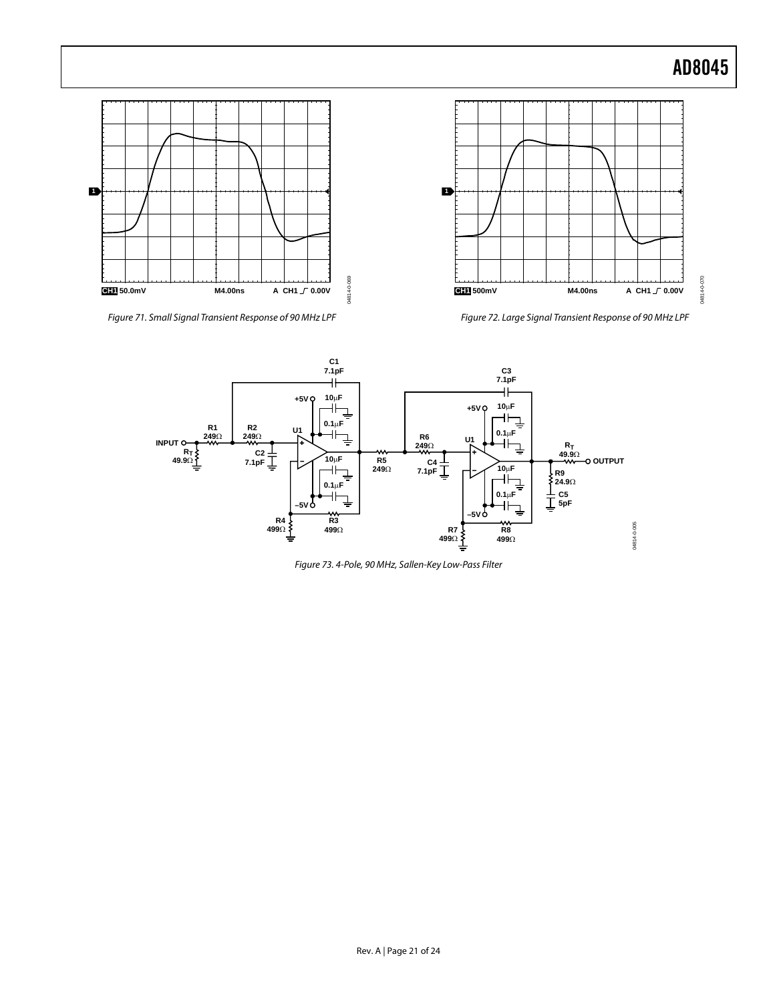04814-0-070



Figure 71. Small Signal Transient Response of 90 MHz LPF

Figure 72. Large Signal Transient Response of 90 MHz LPF

<span id="page-21-0"></span>

Figure 73. 4-Pole, 90 MHz, Sallen-Key Low-Pass Filter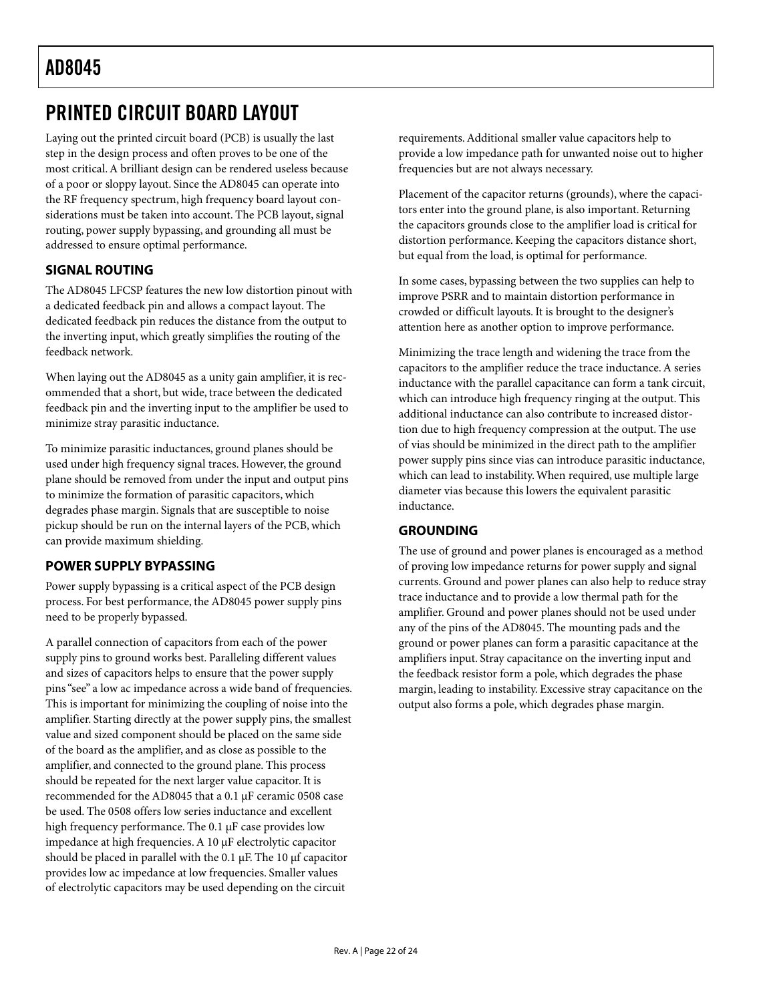### <span id="page-22-1"></span><span id="page-22-0"></span>PRINTED CIRCUIT BOARD LAYOUT

Laying out the printed circuit board (PCB) is usually the last step in the design process and often proves to be one of the most critical. A brilliant design can be rendered useless because of a poor or sloppy layout. Since the AD8045 can operate into the RF frequency spectrum, high frequency board layout considerations must be taken into account. The PCB layout, signal routing, power supply bypassing, and grounding all must be addressed to ensure optimal performance.

#### **SIGNAL ROUTING**

The AD8045 LFCSP features the new low distortion pinout with a dedicated feedback pin and allows a compact layout. The dedicated feedback pin reduces the distance from the output to the inverting input, which greatly simplifies the routing of the feedback network.

When laying out the AD8045 as a unity gain amplifier, it is recommended that a short, but wide, trace between the dedicated feedback pin and the inverting input to the amplifier be used to minimize stray parasitic inductance.

To minimize parasitic inductances, ground planes should be used under high frequency signal traces. However, the ground plane should be removed from under the input and output pins to minimize the formation of parasitic capacitors, which degrades phase margin. Signals that are susceptible to noise pickup should be run on the internal layers of the PCB, which can provide maximum shielding.

#### **POWER SUPPLY BYPASSING**

Power supply bypassing is a critical aspect of the PCB design process. For best performance, the AD8045 power supply pins need to be properly bypassed.

A parallel connection of capacitors from each of the power supply pins to ground works best. Paralleling different values and sizes of capacitors helps to ensure that the power supply pins "see" a low ac impedance across a wide band of frequencies. This is important for minimizing the coupling of noise into the amplifier. Starting directly at the power supply pins, the smallest value and sized component should be placed on the same side of the board as the amplifier, and as close as possible to the amplifier, and connected to the ground plane. This process should be repeated for the next larger value capacitor. It is recommended for the AD8045 that a 0.1 µF ceramic 0508 case be used. The 0508 offers low series inductance and excellent high frequency performance. The 0.1 µF case provides low impedance at high frequencies. A 10 µF electrolytic capacitor should be placed in parallel with the 0.1  $\mu$ F. The 10  $\mu$ f capacitor provides low ac impedance at low frequencies. Smaller values of electrolytic capacitors may be used depending on the circuit

requirements. Additional smaller value capacitors help to provide a low impedance path for unwanted noise out to higher frequencies but are not always necessary.

Placement of the capacitor returns (grounds), where the capacitors enter into the ground plane, is also important. Returning the capacitors grounds close to the amplifier load is critical for distortion performance. Keeping the capacitors distance short, but equal from the load, is optimal for performance.

In some cases, bypassing between the two supplies can help to improve PSRR and to maintain distortion performance in crowded or difficult layouts. It is brought to the designer's attention here as another option to improve performance.

Minimizing the trace length and widening the trace from the capacitors to the amplifier reduce the trace inductance. A series inductance with the parallel capacitance can form a tank circuit, which can introduce high frequency ringing at the output. This additional inductance can also contribute to increased distortion due to high frequency compression at the output. The use of vias should be minimized in the direct path to the amplifier power supply pins since vias can introduce parasitic inductance, which can lead to instability. When required, use multiple large diameter vias because this lowers the equivalent parasitic inductance.

#### **GROUNDING**

The use of ground and power planes is encouraged as a method of proving low impedance returns for power supply and signal currents. Ground and power planes can also help to reduce stray trace inductance and to provide a low thermal path for the amplifier. Ground and power planes should not be used under any of the pins of the AD8045. The mounting pads and the ground or power planes can form a parasitic capacitance at the amplifiers input. Stray capacitance on the inverting input and the feedback resistor form a pole, which degrades the phase margin, leading to instability. Excessive stray capacitance on the output also forms a pole, which degrades phase margin.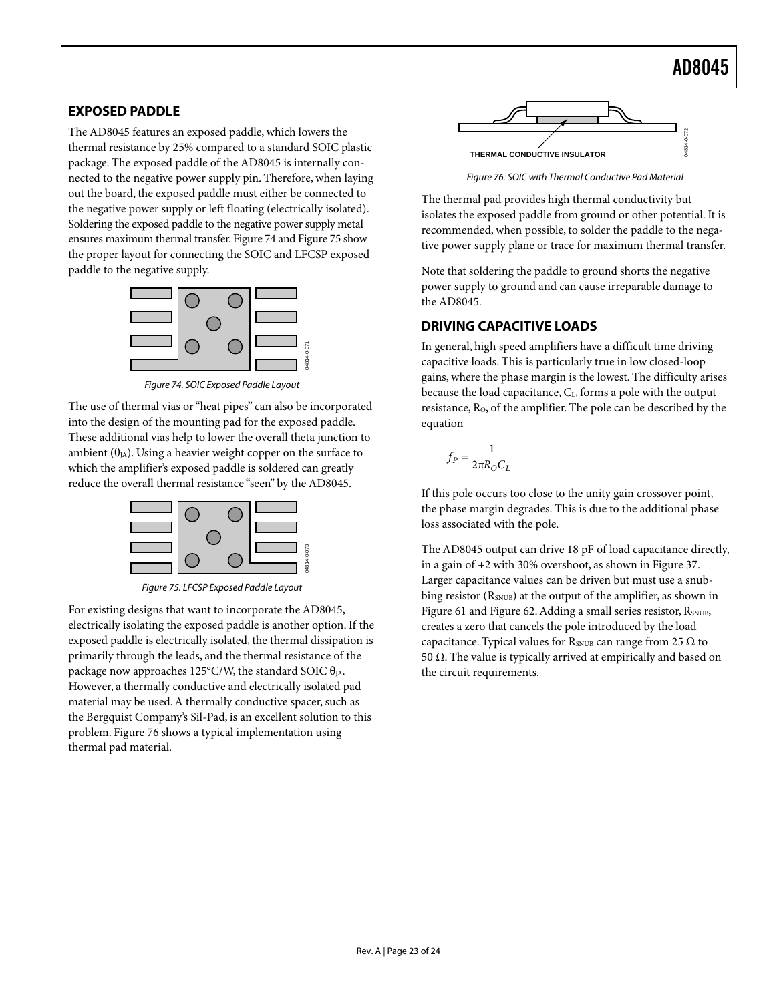#### <span id="page-23-2"></span><span id="page-23-0"></span>**EXPOSED PADDLE**

The AD8045 features an exposed paddle, which lowers the thermal resistance by 25% compared to a standard SOIC plastic package. The exposed paddle of the AD8045 is internally connected to the negative power supply pin. Therefore, when laying out the board, the exposed paddle must either be connected to the negative power supply or left floating (electrically isolated). Soldering the exposed paddle to the negative power supply metal ensures maximum thermal transfer. [Figure](#page-23-3) 74 and [Figure](#page-23-4) 75 show the proper layout for connecting the SOIC and LFCSP exposed paddle to the negative supply.

<span id="page-23-3"></span>

Figure 74. SOIC Exposed Paddle Layout

The use of thermal vias or"heat pipes" can also be incorporated into the design of the mounting pad for the exposed paddle. These additional vias help to lower the overall theta junction to ambient  $(\theta_{JA})$ . Using a heavier weight copper on the surface to which the amplifier's exposed paddle is soldered can greatly reduce the overall thermal resistance "seen" by the AD8045.

<span id="page-23-4"></span>

Figure 75. LFCSP Exposed Paddle Layout

For existing designs that want to incorporate the AD8045, electrically isolating the exposed paddle is another option. If the exposed paddle is electrically isolated, the thermal dissipation is primarily through the leads, and the thermal resistance of the package now approaches 125°C/W, the standard SOIC  $\theta_{IA}$ . However, a thermally conductive and electrically isolated pad material may be used.A thermally conductive spacer, such as the Bergquist Company's Sil-Pad, is an excellent solution to this problem. [Figure 76 s](#page-23-5)hows a typical implementation using thermal pad material.

<span id="page-23-5"></span>

Figure 76. SOIC with Thermal Conductive Pad Material

The thermal pad provides high thermal conductivity but isolates the exposed paddle from ground or other potential. It is recommended, when possible, to solder the paddle to the negative power supply plane or trace for maximum thermal transfer.

Note that soldering the paddle to ground shorts the negative power supply to ground and can cause irreparable damage to the AD8045.

#### <span id="page-23-1"></span>**DRIVING CAPACITIVE LOADS**

In general, high speed amplifiers have a difficult time driving capacitive loads. This is particularly true in low closed-loop gains, where the phase margin is the lowest. The difficulty arises because the load capacitance, CL, forms a pole with the output resistance, R<sub>O</sub>, of the amplifier. The pole can be described by the equation

$$
f_P = \frac{1}{2\pi R_O C_L}
$$

If this pole occurs too close to the unity gain crossover point, the phase margin degrades. This is due to the additional phase loss associated with the pole.

The AD8045 output can drive 18 pF of load capacitance directly, in a gain of +2 with 30% overshoot, as shown in [Figure 37.](#page-12-0)  Larger capacitance values can be driven but must use a snubbing resistor  $(R_{SNUB})$  at the output of the amplifier, as shown in [Figure 61 a](#page-16-1)nd [Figure 62.](#page-16-2) Adding a small series resistor, RSNUB, creates a zero that cancels the pole introduced by the load capacitance. Typical values for  $R_{\text{SNUB}}$  can range from 25  $\Omega$  to 50 Ω. The value is typically arrived at empirically and based on the circuit requirements.